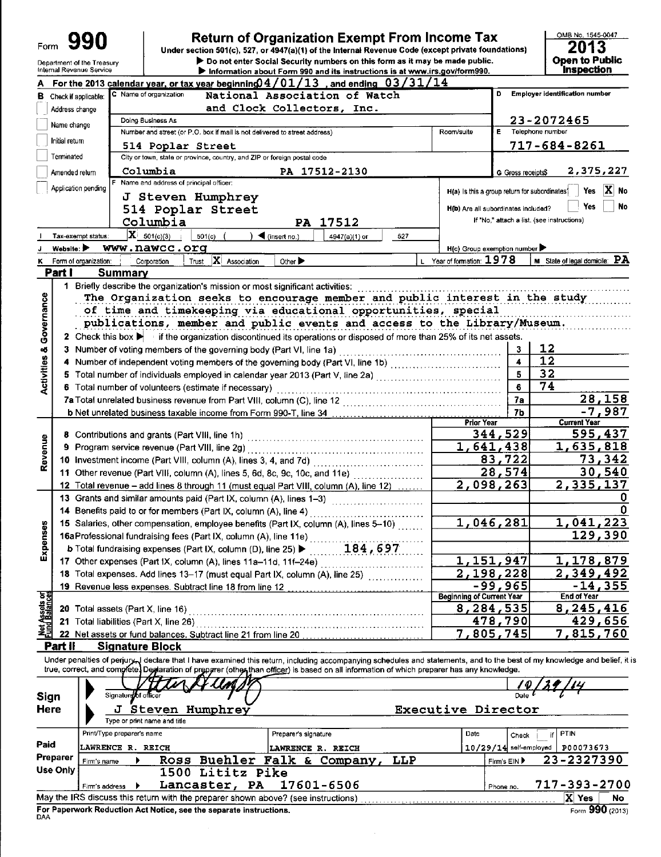| Form | 990 |
|------|-----|
|      |     |

#### Department of the Treasury

### **Return of Organization Exempt From Income Tax**

Under section 501(c), 527, or 4947(a)(1) of the Internal Revenue Code (except private foundations) ▶ Do not enter Social Security numbers on this form as it may be made public.

 $\frac{\text{OMB No. 1545-0047}}{2013}$ Open to Public

|                                       |                | $\blacktriangleright$ information about Form 990 and its instructions is at www.irs.gov/form990.                                                                        |                                               |                          | n is pecuoit                                    |
|---------------------------------------|----------------|-------------------------------------------------------------------------------------------------------------------------------------------------------------------------|-----------------------------------------------|--------------------------|-------------------------------------------------|
|                                       |                | For the 2013 calendar year, or tax year beginning $04/01/13$ , and ending $03/31/14$                                                                                    |                                               |                          |                                                 |
|                                       |                | C Name of organization<br>National Association of Watch<br><b>B</b> Check if applicable:                                                                                |                                               |                          | Employer identification number                  |
|                                       | Address change | and Clock Collectors, Inc.                                                                                                                                              |                                               |                          |                                                 |
|                                       | Name change    | Doing Business As                                                                                                                                                       |                                               |                          | 23-2072465                                      |
|                                       |                | Number and street (or P.O. box if mail is not delivered to street address)                                                                                              | Room/suite                                    | E                        | Telephone number                                |
|                                       | Initial return | 514 Poplar Street                                                                                                                                                       |                                               |                          | $717 - 684 - 8261$                              |
|                                       | Terminated     | City or town, state or province, country, and ZIP or foreign postal code                                                                                                |                                               |                          |                                                 |
|                                       | Amended return | Columbia<br>PA 17512-2130                                                                                                                                               |                                               | G Gross receipts\$       | 2,375,227                                       |
|                                       |                | F Name and address of principal officer:                                                                                                                                |                                               |                          |                                                 |
|                                       |                | Application pending<br>J Steven Humphrey                                                                                                                                | H(a) Is this a group return for subordinates? |                          | $ X $ No<br>Yes                                 |
|                                       |                | 514 Poplar Street                                                                                                                                                       | H(b) Are all subordinates included?           |                          | No<br>Yes                                       |
|                                       |                | Columbia<br>PA 17512                                                                                                                                                    |                                               |                          | if "No," attach a list. (see instructions)      |
|                                       |                | $\mathbf{X}_{-501(c)(3)}$<br>Tax-exempt status:                                                                                                                         |                                               |                          |                                                 |
|                                       |                | 501(c)<br>$\blacktriangleleft$ (insert no.)<br>4947(a)(1) or<br>527                                                                                                     |                                               |                          |                                                 |
|                                       | Website:       | www.nawcc.org                                                                                                                                                           | H(c) Group exemption number ▶                 |                          | <b>M</b> State of legal domicile: $\mathbf{PA}$ |
|                                       |                | $ \mathbf{X} $ Association<br>Other $\blacktriangleright$<br>Form of organization:<br>Corporation<br>Trust                                                              | L Year of formation: $1978$                   |                          |                                                 |
|                                       | Part I         | Summary                                                                                                                                                                 |                                               |                          |                                                 |
|                                       | 1.             | Briefly describe the organization's mission or most significant activities:                                                                                             |                                               |                          |                                                 |
|                                       |                | The Organization seeks to encourage member and public interest in the study                                                                                             |                                               |                          |                                                 |
|                                       |                | of time and timekeeping via educational opportunities, special                                                                                                          |                                               |                          |                                                 |
|                                       |                | publications, member and public events and access to the Library/Museum.                                                                                                |                                               |                          |                                                 |
| Governance                            |                | 2 Check this box in the organization discontinued its operations or disposed of more than 25% of its net assets.                                                        |                                               |                          |                                                 |
|                                       |                | 3 Number of voting members of the governing body (Part VI, line 1a)                                                                                                     |                                               | 3                        | 12                                              |
|                                       |                |                                                                                                                                                                         |                                               | 4                        | 12                                              |
| <b>Activities &amp;</b>               |                |                                                                                                                                                                         |                                               | 5                        | 32                                              |
|                                       |                | 6 Total number of volunteers (estimate if necessary)                                                                                                                    |                                               | 6                        | 74                                              |
|                                       |                | 7a Total unrelated business revenue from Part VIII, column (C), line 12                                                                                                 |                                               | 7a                       | <u>28,158</u>                                   |
|                                       |                |                                                                                                                                                                         |                                               | 7b                       | $-7,987$                                        |
|                                       |                |                                                                                                                                                                         | <b>Prior Year</b>                             |                          | <b>Current Year</b>                             |
|                                       |                |                                                                                                                                                                         |                                               | 344,529                  | 595,437                                         |
| Revenue                               |                |                                                                                                                                                                         | $\overline{1,641,438}$                        |                          | <u>1,635,818</u>                                |
|                                       |                |                                                                                                                                                                         |                                               | 83,722                   | <u>73,342</u>                                   |
|                                       |                | 11 Other revenue (Part VIII, column (A), lines 5, 6d, 8c, 9c, 10c, and 11e)                                                                                             |                                               | $\overline{28,574}$      | 30,540                                          |
|                                       |                | 12 Total revenue - add lines 8 through 11 (must equal Part VIII, column (A), line 12)                                                                                   | 2,098,263                                     |                          | 2,335,137                                       |
|                                       |                | 13 Grants and similar amounts paid (Part IX, column (A), lines 1-3)                                                                                                     |                                               |                          |                                                 |
|                                       |                |                                                                                                                                                                         |                                               |                          |                                                 |
|                                       |                | 14 Benefits paid to or for members (Part IX, column (A), line 4)                                                                                                        | 1,046,281                                     |                          | 1,041,223                                       |
|                                       |                | 15 Salaries, other compensation, employee benefits (Part IX, column (A), lines 5-10)                                                                                    |                                               |                          |                                                 |
|                                       |                | 16aProfessional fundraising fees (Part IX, column (A), line 11e)                                                                                                        |                                               |                          | 129,390                                         |
| Expenses                              |                | 184,697<br><b>b</b> Total fundraising expenses (Part IX, column (D), line 25) ▶                                                                                         |                                               |                          |                                                 |
|                                       |                | 17 Other expenses (Part IX, column (A), lines 11a-11d, 11f-24e)                                                                                                         | 1,                                            | 151,947                  | <u>1,178,879</u>                                |
|                                       |                | 18 Total expenses. Add lines 13-17 (must equal Part IX, column (A), line 25) [[[[[[[[[[[[[[[[[[[[[[[[[[[[[[[[                                                           | 2,198,228                                     |                          | 2,349,492                                       |
|                                       |                | 19 Revenue less expenses. Subtract line 18 from line 12                                                                                                                 |                                               | $-99,965$                | $-14,355$                                       |
| <b>Net Assets or</b><br>Fund Balances |                |                                                                                                                                                                         | <b>Beginning of Current Year</b>              |                          | <b>End of Year</b>                              |
|                                       |                |                                                                                                                                                                         | 8, 284, 535                                   |                          | 8, 245, 416                                     |
|                                       |                | 21 Total liabilities (Part X, line 26)                                                                                                                                  |                                               | 478,790                  | 429,656                                         |
|                                       |                | 22 Net assets or fund balances. Subtract line 21 from line 20                                                                                                           | 7,805,745                                     |                          | 7,815,760                                       |
|                                       | Part II        | <b>Signature Block</b>                                                                                                                                                  |                                               |                          |                                                 |
|                                       |                | Under penalties of perjury declare that I have examined this return, including accompanying schedules and statements, and to the best of my knowledge and belief, it is |                                               |                          |                                                 |
|                                       |                | true, correct, and complete. Deglaration of preparer (other than officer) is based on all information of which preparer has any knowledge.                              |                                               |                          |                                                 |
|                                       |                |                                                                                                                                                                         |                                               |                          |                                                 |
| Sign                                  |                | Signature of officer                                                                                                                                                    |                                               |                          |                                                 |
| Here                                  |                | Steven Humphrey<br>J                                                                                                                                                    | Executive Director                            |                          |                                                 |
|                                       |                | Type or print name and title                                                                                                                                            |                                               |                          |                                                 |
|                                       |                | Print/Type preparer's name<br>Preparer's signature                                                                                                                      | Date                                          | Check                    | PTIN<br>if.                                     |
| Paid                                  |                | <b>LAWRENCE R. REICH</b><br>LAWRENCE R. REICH                                                                                                                           |                                               | $10/29/14$ self-employed | P00073673                                       |
|                                       | Preparer       | Ross Buehler Falk & Company,<br>LLP<br>Firm's name                                                                                                                      |                                               | Firm's EIN ▶             | 23-2327390                                      |
|                                       | Use Only       | 1500 Lititz Pike                                                                                                                                                        |                                               |                          |                                                 |
|                                       |                | Lancaster, PA<br>17601-6506<br>Firm's address                                                                                                                           |                                               |                          | 717-393-2700                                    |
|                                       |                | May the IRS discuss this return with the preparer shown above? (see instructions)                                                                                       |                                               | Phone no.                | X Yes                                           |
|                                       |                |                                                                                                                                                                         |                                               |                          | No                                              |

For Paperwork Reduction Act Notice, see the separate instructions.<br>DAA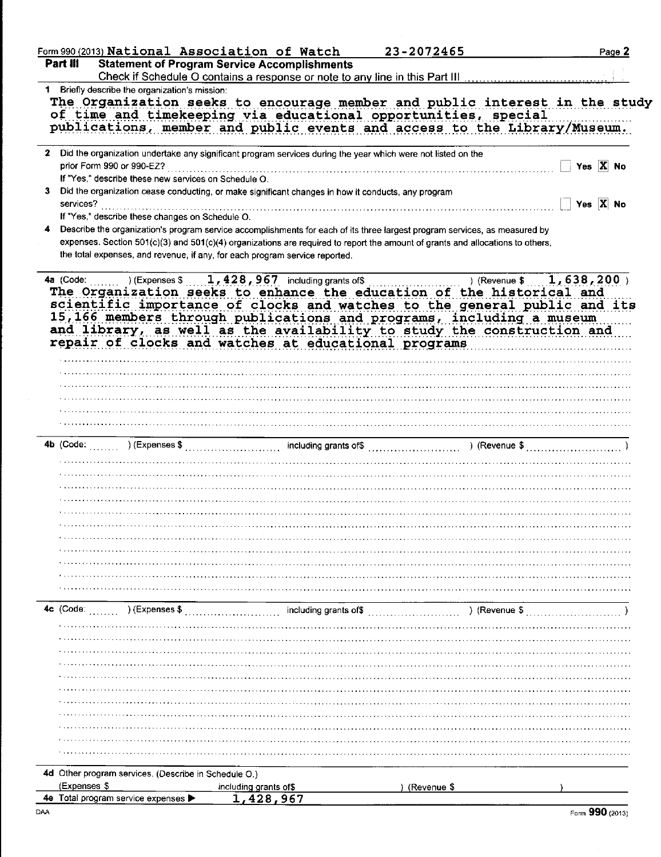|                           |                                                      | Form 990 (2013) National Association of Watch                                                                                                                                                                                                                                                                                                                                                      | 23-2072465  | Page 2                     |
|---------------------------|------------------------------------------------------|----------------------------------------------------------------------------------------------------------------------------------------------------------------------------------------------------------------------------------------------------------------------------------------------------------------------------------------------------------------------------------------------------|-------------|----------------------------|
| Part III                  |                                                      | <b>Statement of Program Service Accomplishments</b><br>Check if Schedule O contains a response or note to any line in this Part III                                                                                                                                                                                                                                                                |             |                            |
|                           | 1 Briefly describe the organization's mission:       |                                                                                                                                                                                                                                                                                                                                                                                                    |             |                            |
|                           |                                                      | The Organization seeks to encourage member and public interest in the study<br>of time and timekeeping via educational opportunities, special<br>publications, member and public events and access to the Library/Museum.                                                                                                                                                                          |             |                            |
| prior Form 990 or 990-EZ? |                                                      | 2 Did the organization undertake any significant program services during the year which were not listed on the                                                                                                                                                                                                                                                                                     |             | Yes $\overline{X}$ No      |
|                           | If "Yes," describe these new services on Schedule O. | Did the organization cease conducting, or make significant changes in how it conducts, any program                                                                                                                                                                                                                                                                                                 |             | Yes $\overline{X}$ No      |
|                           | If "Yes," describe these changes on Schedule O.      | Describe the organization's program service accomplishments for each of its three largest program services, as measured by                                                                                                                                                                                                                                                                         |             |                            |
|                           |                                                      | expenses. Section 501(c)(3) and 501(c)(4) organizations are required to report the amount of grants and allocations to others,<br>the total expenses, and revenue, if any, for each program service reported.                                                                                                                                                                                      |             |                            |
| 4a (Code:                 | ) (Expenses \$                                       | $1,428,967$ including grants of \$<br>The Organization seeks to enhance the education of the historical and<br>scientific importance of clocks and watches to the general public and its<br>15,166 members through publications and programs, including a museum<br>and library, as well as the availability to study the construction and<br>repair of clocks and watches at educational programs |             | 1,638,200<br>) (Revenue \$ |
|                           |                                                      |                                                                                                                                                                                                                                                                                                                                                                                                    |             |                            |
|                           |                                                      |                                                                                                                                                                                                                                                                                                                                                                                                    |             |                            |
|                           |                                                      |                                                                                                                                                                                                                                                                                                                                                                                                    |             |                            |
|                           |                                                      |                                                                                                                                                                                                                                                                                                                                                                                                    |             |                            |
|                           |                                                      |                                                                                                                                                                                                                                                                                                                                                                                                    |             |                            |
|                           |                                                      |                                                                                                                                                                                                                                                                                                                                                                                                    |             |                            |
|                           |                                                      |                                                                                                                                                                                                                                                                                                                                                                                                    |             |                            |
|                           |                                                      |                                                                                                                                                                                                                                                                                                                                                                                                    |             |                            |
|                           |                                                      |                                                                                                                                                                                                                                                                                                                                                                                                    |             |                            |
|                           |                                                      |                                                                                                                                                                                                                                                                                                                                                                                                    |             |                            |
|                           |                                                      |                                                                                                                                                                                                                                                                                                                                                                                                    |             |                            |
|                           |                                                      |                                                                                                                                                                                                                                                                                                                                                                                                    |             |                            |
|                           |                                                      |                                                                                                                                                                                                                                                                                                                                                                                                    |             |                            |
|                           |                                                      |                                                                                                                                                                                                                                                                                                                                                                                                    |             |                            |
|                           |                                                      |                                                                                                                                                                                                                                                                                                                                                                                                    |             |                            |
|                           |                                                      |                                                                                                                                                                                                                                                                                                                                                                                                    |             |                            |
|                           |                                                      |                                                                                                                                                                                                                                                                                                                                                                                                    |             |                            |
|                           |                                                      |                                                                                                                                                                                                                                                                                                                                                                                                    |             |                            |
|                           | ) (Expenses \$                                       | including grants of\$                                                                                                                                                                                                                                                                                                                                                                              |             | ) (Revenue \$              |
|                           |                                                      |                                                                                                                                                                                                                                                                                                                                                                                                    |             |                            |
|                           |                                                      |                                                                                                                                                                                                                                                                                                                                                                                                    |             |                            |
|                           |                                                      |                                                                                                                                                                                                                                                                                                                                                                                                    |             |                            |
|                           |                                                      |                                                                                                                                                                                                                                                                                                                                                                                                    |             |                            |
|                           |                                                      |                                                                                                                                                                                                                                                                                                                                                                                                    |             |                            |
|                           |                                                      |                                                                                                                                                                                                                                                                                                                                                                                                    |             |                            |
|                           |                                                      |                                                                                                                                                                                                                                                                                                                                                                                                    |             |                            |
|                           |                                                      |                                                                                                                                                                                                                                                                                                                                                                                                    |             |                            |
|                           |                                                      |                                                                                                                                                                                                                                                                                                                                                                                                    |             |                            |
|                           |                                                      |                                                                                                                                                                                                                                                                                                                                                                                                    |             |                            |
|                           |                                                      |                                                                                                                                                                                                                                                                                                                                                                                                    |             |                            |
| 4c (Code:<br>(Expenses \$ | 4d Other program services. (Describe in Schedule O.) | including grants of\$                                                                                                                                                                                                                                                                                                                                                                              | (Revenue \$ |                            |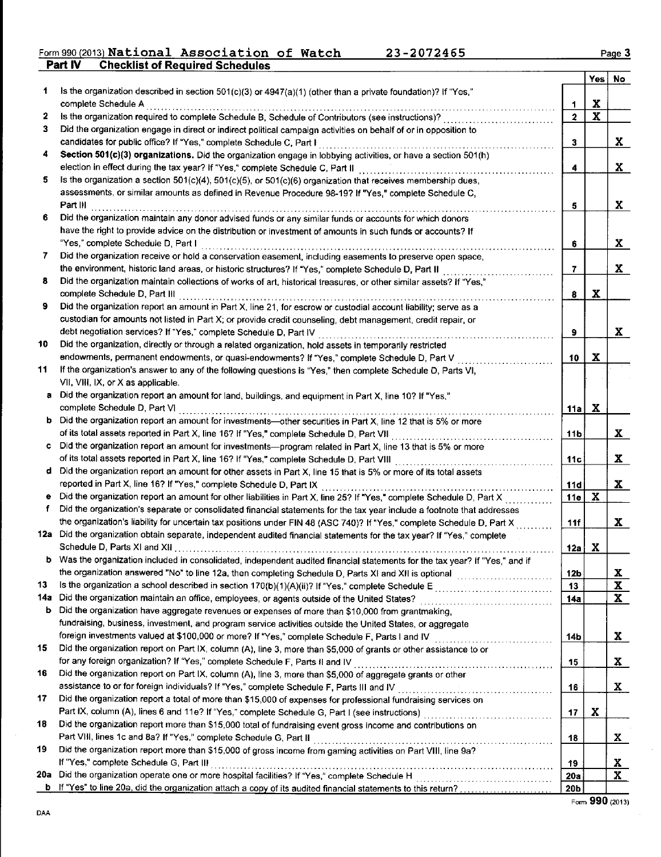#### Form 990 (2013) National Association of Watch 23-2072465 t of Required Schedules

|        |                                                                                                                            |                         |             | Yes No                     |
|--------|----------------------------------------------------------------------------------------------------------------------------|-------------------------|-------------|----------------------------|
| 1      | Is the organization described in section 501(c)(3) or 4947(a)(1) (other than a private foundation)? If "Yes,"              |                         |             |                            |
|        | complete Schedule A                                                                                                        | 1                       | x           |                            |
| 2      | Is the organization required to complete Schedule B, Schedule of Contributors (see instructions)?                          | $\overline{\mathbf{c}}$ | $\mathbf x$ |                            |
| 3      | Did the organization engage in direct or indirect political campaign activities on behalf of or in opposition to           |                         |             |                            |
|        | candidates for public office? If "Yes," complete Schedule C, Part I                                                        | 3                       |             | X                          |
| 4      | Section 501(c)(3) organizations. Did the organization engage in lobbying activities, or have a section 501(h)              |                         |             |                            |
|        | election in effect during the tax year? If "Yes," complete Schedule C, Part II                                             | 4                       |             | X                          |
| 5.     | Is the organization a section $501(c)(4)$ , $501(c)(5)$ , or $501(c)(6)$ organization that receives membership dues,       |                         |             |                            |
|        | assessments, or similar amounts as defined in Revenue Procedure 98-19? If "Yes," complete Schedule C,                      |                         |             |                            |
|        | Part III<br>. <i>.</i> <b>. . .</b>                                                                                        | 5                       |             | X                          |
| 6.     | Did the organization maintain any donor advised funds or any similar funds or accounts for which donors                    |                         |             |                            |
|        | have the right to provide advice on the distribution or investment of amounts in such funds or accounts? If                |                         |             |                            |
|        | "Yes," complete Schedule D, Part I                                                                                         | 6                       |             | X                          |
| 7      | Did the organization receive or hold a conservation easement, including easements to preserve open space,                  |                         |             |                            |
|        | the environment, historic land areas, or historic structures? If "Yes," complete Schedule D, Part II                       | 7                       |             | X.                         |
| 8      | Did the organization maintain collections of works of art, historical treasures, or other similar assets? If "Yes,"        |                         |             |                            |
|        | complete Schedule D, Part III                                                                                              | 8                       | $\mathbf x$ |                            |
| 9      | Did the organization report an amount in Part X, line 21, for escrow or custodial account liability; serve as a            |                         |             |                            |
|        | custodian for amounts not listed in Part X; or provide credit counseling, debt management, credit repair, or               |                         |             |                            |
|        | debt negotiation services? If "Yes," complete Schedule D, Part IV                                                          | 9                       |             | X                          |
| 10     | Did the organization, directly or through a related organization, hold assets in temporarily restricted                    |                         |             |                            |
|        | endowments, permanent endowments, or quasi-endowments? If "Yes," complete Schedule D, Part V                               | 10                      | x           |                            |
| 11     | If the organization's answer to any of the following questions is "Yes," then complete Schedule D, Parts VI,               |                         |             |                            |
|        | VII, VIII, IX, or X as applicable.                                                                                         |                         |             |                            |
|        | Did the organization report an amount for land, buildings, and equipment in Part X, line 10? If "Yes,"                     |                         |             |                            |
|        | complete Schedule D, Part VI                                                                                               | 11a                     | X           |                            |
|        | b Did the organization report an amount for investments—other securities in Part X, line 12 that is 5% or more             |                         |             |                            |
|        | of its total assets reported in Part X, line 16? If "Yes," complete Schedule D, Part VII                                   | 11b                     |             | X.                         |
| c      | Did the organization report an amount for investments-program related in Part X, line 13 that is 5% or more                |                         |             |                            |
|        | of its total assets reported in Part X, line 16? If "Yes," complete Schedule D, Part VIII                                  | 11c                     |             | X.                         |
| d      | Did the organization report an amount for other assets in Part X, line 15 that is 5% or more of its total assets           |                         |             |                            |
|        | reported in Part X, line 16? If "Yes," complete Schedule D, Part IX                                                        | 11d                     |             | $\mathbf{x}$               |
| ٠<br>f | Did the organization report an amount for other liabilities in Part X, line 25? If "Yes," complete Schedule D, Part X      | 11e                     | X           |                            |
|        | Did the organization's separate or consolidated financial statements for the tax year include a footnote that addresses    |                         |             |                            |
|        | the organization's liability for uncertain tax positions under FIN 48 (ASC 740)? If "Yes," complete Schedule D, Part X     | 11f                     |             | $\mathbf{x}$               |
|        | 12a Did the organization obtain separate, independent audited financial statements for the tax year? If "Yes," complete    |                         |             |                            |
|        | Schedule D, Parts XI and XII.                                                                                              | 12a                     | X           |                            |
|        | Was the organization included in consolidated, independent audited financial statements for the tax year? If "Yes," and if |                         |             |                            |
| 13     |                                                                                                                            | 12 <sub>b</sub>         |             | $\mathbf x$<br>$\mathbf X$ |
| 14a    | Did the organization maintain an office, employees, or agents outside of the United States?                                | 13                      |             | X                          |
| b      | Did the organization have aggregate revenues or expenses of more than \$10,000 from grantmaking,                           | 14a                     |             |                            |
|        | fundraising, business, investment, and program service activities outside the United States, or aggregate                  |                         |             |                            |
|        | foreign investments valued at \$100,000 or more? If "Yes," complete Schedule F, Parts I and IV [[[[[[[[[[[[[[[[            |                         |             | $\mathbf{x}$               |
| 15     | Did the organization report on Part IX, column (A), line 3, more than \$5,000 of grants or other assistance to or          | 14b                     |             |                            |
|        | for any foreign organization? If "Yes," complete Schedule F, Parts II and IV                                               |                         |             | X.                         |
| 16     | Did the organization report on Part IX, column (A), line 3, more than \$5,000 of aggregate grants or other                 | 15                      |             |                            |
|        | assistance to or for foreign individuals? If "Yes," complete Schedule F, Parts III and IV                                  |                         |             | X                          |
| 17     | Did the organization report a total of more than \$15,000 of expenses for professional fundraising services on             | 16                      |             |                            |
|        |                                                                                                                            | 17                      | X           |                            |
| 18     | Did the organization report more than \$15,000 total of fundraising event gross income and contributions on                |                         |             |                            |
|        | Part VIII, lines 1c and 8a? If "Yes," complete Schedule G, Part II                                                         | 18                      |             | X.                         |
| 19     | Did the organization report more than \$15,000 of gross income from gaming activities on Part VIII, line 9a?               |                         |             |                            |
|        | If "Yes," complete Schedule G, Part III                                                                                    | 19                      |             | <u>x</u>                   |
| 20a    |                                                                                                                            | 20a                     |             | x                          |
| b      | If "Yes" to line 20a, did the organization attach a copy of its audited financial statements to this return?               | 20 <sub>b</sub>         |             |                            |
|        |                                                                                                                            |                         |             |                            |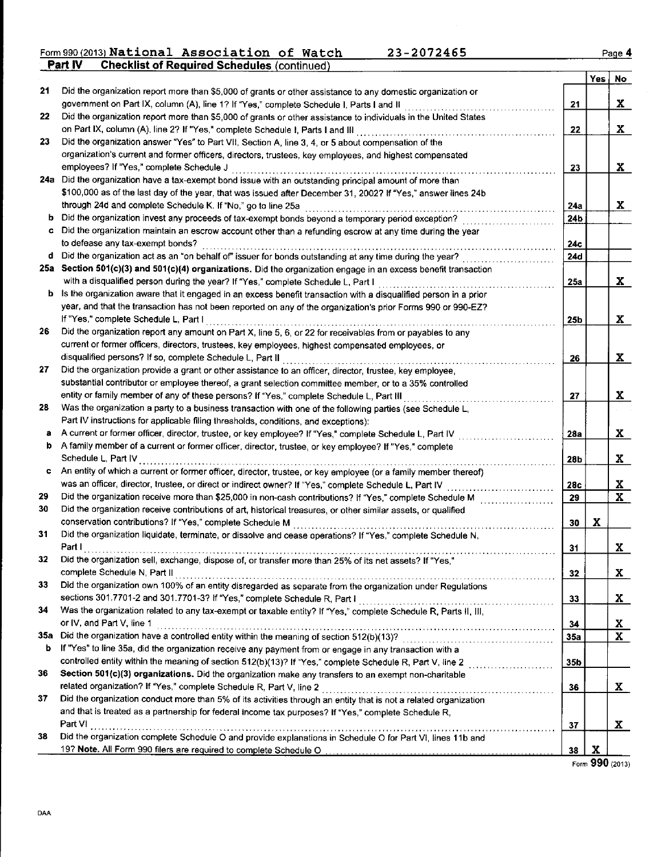| 21  | Did the organization report more than \$5,000 of grants or other assistance to any domestic organization or               |                 | Yes         | No                      |
|-----|---------------------------------------------------------------------------------------------------------------------------|-----------------|-------------|-------------------------|
|     | government on Part IX, column (A), line 1? If "Yes," complete Schedule I, Parts I and II                                  | 21              |             | X                       |
| 22  | Did the organization report more than \$5,000 of grants or other assistance to individuals in the United States           |                 |             |                         |
|     | on Part IX, column (A), line 2? If "Yes," complete Schedule I, Parts I and III [[[[[[[[[[[[[[[[[[[[[[[[[[[[[[             | 22              |             | X                       |
| 23  | Did the organization answer "Yes" to Part VII, Section A, line 3, 4, or 5 about compensation of the                       |                 |             |                         |
|     | organization's current and former officers, directors, trustees, key employees, and highest compensated                   |                 |             |                         |
|     | employees? If "Yes," complete Schedule J                                                                                  | 23              |             | $\mathbf{x}$            |
|     | 24a Did the organization have a tax-exempt bond issue with an outstanding principal amount of more than                   |                 |             |                         |
|     | \$100,000 as of the last day of the year, that was issued after December 31, 2002? If "Yes," answer lines 24b             |                 |             |                         |
|     | through 24d and complete Schedule K. If "No," go to line 25a                                                              | 24a             |             | X                       |
| b   | Did the organization invest any proceeds of tax-exempt bonds beyond a temporary period exception?                         | 24b             |             |                         |
|     | Did the organization maintain an escrow account other than a refunding escrow at any time during the year                 |                 |             |                         |
|     | to defease any tax-exempt bonds?                                                                                          | 24c             |             |                         |
| d   | Did the organization act as an "on behalf of" issuer for bonds outstanding at any time during the year?                   | <b>24d</b>      |             |                         |
| 25а | Section 501(c)(3) and 501(c)(4) organizations. Did the organization engage in an excess benefit transaction               |                 |             |                         |
|     | with a disqualified person during the year? If "Yes," complete Schedule L, Part I                                         | 25a             |             | x                       |
|     | <b>b</b> Is the organization aware that it engaged in an excess benefit transaction with a disqualified person in a prior |                 |             |                         |
|     | year, and that the transaction has not been reported on any of the organization's prior Forms 990 or 990-EZ?              |                 |             |                         |
|     | If "Yes," complete Schedule L, Part I                                                                                     | 25b             |             | X                       |
| 26  | Did the organization report any amount on Part X, line 5, 6, or 22 for receivables from or payables to any                |                 |             |                         |
|     | current or former officers, directors, trustees, key employees, highest compensated employees, or                         |                 |             |                         |
|     | disqualified persons? If so, complete Schedule L, Part II                                                                 | 26              |             | X                       |
| 27  | Did the organization provide a grant or other assistance to an officer, director, trustee, key employee,                  |                 |             |                         |
|     | substantial contributor or employee thereof, a grant selection committee member, or to a 35% controlled                   |                 |             |                         |
|     | entity or family member of any of these persons? If "Yes," complete Schedule L, Part III                                  | 27              |             | $\mathbf x$             |
| 28  | Was the organization a party to a business transaction with one of the following parties (see Schedule L,                 |                 |             |                         |
|     | Part IV instructions for applicable filing thresholds, conditions, and exceptions):                                       |                 |             |                         |
| а   | A current or former officer, director, trustee, or key employee? If "Yes," complete Schedule L, Part IV                   | 28a             |             | $\mathbf x$             |
| b   | A family member of a current or former officer, director, trustee, or key employee? If "Yes," complete                    |                 |             |                         |
|     | Schedule L. Part IV                                                                                                       | 28 <sub>b</sub> |             | X                       |
| c   | An entity of which a current or former officer, director, trustee, or key employee (or a family member thereof)           |                 |             |                         |
|     | was an officer, director, trustee, or direct or indirect owner? If "Yes," complete Schedule L, Part IV                    | 28c             |             | x                       |
| 29  | Did the organization receive more than \$25,000 in non-cash contributions? If "Yes," complete Schedule M                  | 29              |             | $\mathbf{x}$            |
| 30  | Did the organization receive contributions of art, historical treasures, or other similar assets, or qualified            |                 |             |                         |
|     | conservation contributions? If "Yes," complete Schedule M                                                                 | 30              | X           |                         |
| 31  | Did the organization liquidate, terminate, or dissolve and cease operations? If "Yes," complete Schedule N,               |                 |             |                         |
|     | Part I                                                                                                                    | 31              |             | X                       |
| 32  | Did the organization sell, exchange, dispose of, or transfer more than 25% of its net assets? If "Yes,'                   |                 |             |                         |
|     | complete Schedule N, Part II                                                                                              | 32              |             | X                       |
| 33  | Did the organization own 100% of an entity disregarded as separate from the organization under Regulations                |                 |             |                         |
|     | sections 301.7701-2 and 301.7701-3? If "Yes," complete Schedule R, Part I                                                 | 33              |             | x                       |
| 34  | Was the organization related to any tax-exempt or taxable entity? If "Yes," complete Schedule R, Parts II, III,           |                 |             |                         |
|     | or IV, and Part V, line 1                                                                                                 | 34              |             | <u>x</u>                |
| 35a |                                                                                                                           | 35a             |             | $\overline{\mathbf{x}}$ |
| b   | If "Yes" to line 35a, did the organization receive any payment from or engage in any transaction with a                   |                 |             |                         |
|     | controlled entity within the meaning of section 512(b)(13)? If "Yes," complete Schedule R, Part V, line 2                 | 35b             |             |                         |
| 36  | Section 501(c)(3) organizations. Did the organization make any transfers to an exempt non-charitable                      |                 |             |                         |
|     |                                                                                                                           | 36              |             | x                       |
| 37  | Did the organization conduct more than 5% of its activities through an entity that is not a related organization          |                 |             |                         |
|     | and that is treated as a partnership for federal income tax purposes? If "Yes," complete Schedule R,                      |                 |             |                         |
|     | Part VI                                                                                                                   | 37              |             | x                       |
| 38  | Did the organization complete Schedule O and provide explanations in Schedule O for Part VI, lines 11b and                |                 |             |                         |
|     | 19? Note. All Form 990 filers are required to complete Schedule O                                                         | 38              | $\mathbf x$ |                         |
|     |                                                                                                                           |                 |             |                         |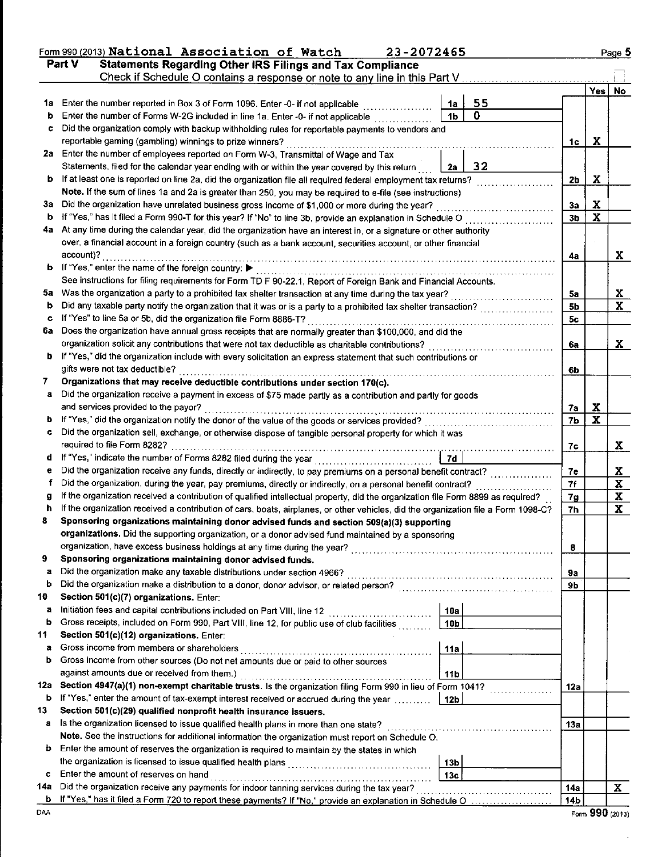|         | Form 990 (2013) National Association of Watch<br>23-2072465                                                                                                                                                                     |                 |     | Page 5      |
|---------|---------------------------------------------------------------------------------------------------------------------------------------------------------------------------------------------------------------------------------|-----------------|-----|-------------|
|         | Part V<br><b>Statements Regarding Other IRS Filings and Tax Compliance</b>                                                                                                                                                      |                 |     |             |
|         | Check if Schedule O contains a response or note to any line in this Part V.                                                                                                                                                     |                 |     |             |
| 1a      | 55                                                                                                                                                                                                                              |                 | Yes | No          |
| b       | Enter the number reported in Box 3 of Form 1096. Enter -0- if not applicable<br>1a<br>0<br>1 <sub>b</sub><br>Enter the number of Forms W-2G included in line 1a. Enter -0- if not applicable                                    |                 |     |             |
| c       | Did the organization comply with backup withholding rules for reportable payments to vendors and                                                                                                                                |                 |     |             |
|         | reportable gaming (gambling) winnings to prize winners?                                                                                                                                                                         | 1c              | X   |             |
|         | 2a Enter the number of employees reported on Form W-3, Transmittal of Wage and Tax                                                                                                                                              |                 |     |             |
|         | 32<br>Statements, filed for the calendar year ending with or within the year covered by this return<br>2а                                                                                                                       |                 |     |             |
| b       | If at least one is reported on line 2a, did the organization file all required federal employment tax returns?                                                                                                                  | 2b              | X   |             |
|         | Note. If the sum of lines 1a and 2a is greater than 250, you may be required to e-file (see instructions)                                                                                                                       |                 |     |             |
| За      | Did the organization have unrelated business gross income of \$1,000 or more during the year?                                                                                                                                   | 3a              | X   |             |
| b       | If "Yes," has it filed a Form 990-T for this year? If "No" to line 3b, provide an explanation in Schedule O                                                                                                                     | 3b              | x   |             |
| 4а      | At any time during the calendar year, did the organization have an interest in, or a signature or other authority                                                                                                               |                 |     |             |
|         | over, a financial account in a foreign country (such as a bank account, securities account, or other financial                                                                                                                  |                 |     |             |
|         | account)?                                                                                                                                                                                                                       | 4a              |     | X           |
| b       | If "Yes," enter the name of the foreign country: ▶                                                                                                                                                                              |                 |     |             |
| 5a      | See instructions for filing requirements for Form TD F 90-22.1, Report of Foreign Bank and Financial Accounts.                                                                                                                  |                 |     |             |
| b       | Was the organization a party to a prohibited tax shelter transaction at any time during the tax year?<br>.<br>Did any taxable party notify the organization that it was or is a party to a prohibited tax shelter transaction?  | 5a<br>5b        |     | X<br>X      |
| c       | If "Yes" to line 5a or 5b, did the organization file Form 8886-T?                                                                                                                                                               | 5с              |     |             |
| 6а      | Does the organization have annual gross receipts that are normally greater than \$100,000, and did the                                                                                                                          |                 |     |             |
|         | organization solicit any contributions that were not tax deductible as charitable contributions?                                                                                                                                | 6a              |     | X           |
| b       | If "Yes," did the organization include with every solicitation an express statement that such contributions or                                                                                                                  |                 |     |             |
|         | gifts were not tax deductible?                                                                                                                                                                                                  | 6b              |     |             |
| 7       | Organizations that may receive deductible contributions under section 170(c).                                                                                                                                                   |                 |     |             |
| a       | Did the organization receive a payment in excess of \$75 made partly as a contribution and partly for goods                                                                                                                     |                 |     |             |
|         | and services provided to the payor?                                                                                                                                                                                             | 7a              | X   |             |
| đ       |                                                                                                                                                                                                                                 | 7Ь              | x   |             |
| c       | Did the organization sell, exchange, or otherwise dispose of tangible personal property for which it was                                                                                                                        |                 |     |             |
|         | required to file Form 8282?                                                                                                                                                                                                     | 7c              |     | X           |
| d       | If "Yes," indicate the number of Forms 8282 filed during the year<br>7d                                                                                                                                                         |                 |     |             |
| e       |                                                                                                                                                                                                                                 | 7e              |     | Х           |
| f       | Did the organization, during the year, pay premiums, directly or indirectly, on a personal benefit contract?                                                                                                                    | 7f              |     | $\mathbf x$ |
| я<br>ħ  | If the organization received a contribution of qualified intellectual property, did the organization file Form 8899 as required?                                                                                                | 7g              |     | X           |
| 8       | If the organization received a contribution of cars, boats, airplanes, or other vehicles, did the organization file a Form 1098-C?<br>Sponsoring organizations maintaining donor advised funds and section 509(a)(3) supporting | 7h              |     | $\mathbf x$ |
|         | organizations. Did the supporting organization, or a donor advised fund maintained by a sponsoring                                                                                                                              |                 |     |             |
|         | organization, have excess business holdings at any time during the year?                                                                                                                                                        | 8               |     |             |
| 9       | Sponsoring organizations maintaining donor advised funds.                                                                                                                                                                       |                 |     |             |
| a       |                                                                                                                                                                                                                                 | 9а              |     |             |
| b       |                                                                                                                                                                                                                                 | 9b              |     |             |
| 10      | Section 501(c)(7) organizations. Enter:                                                                                                                                                                                         |                 |     |             |
| а       | Initiation fees and capital contributions included on Part VIII, line 12 [<br>10a                                                                                                                                               |                 |     |             |
| b       | Gross receipts, included on Form 990, Part VIII, line 12, for public use of club facilities<br>10 <sub>b</sub>                                                                                                                  |                 |     |             |
| 11      | Section 501(c)(12) organizations. Enter:                                                                                                                                                                                        |                 |     |             |
| a       | Gross income from members or shareholders<br>11a                                                                                                                                                                                |                 |     |             |
| b       | Gross income from other sources (Do not net amounts due or paid to other sources                                                                                                                                                |                 |     |             |
|         | against amounts due or received from them.)<br>11 <sub>b</sub>                                                                                                                                                                  |                 |     |             |
| 12a     | Section 4947(a)(1) non-exempt charitable trusts. Is the organization filing Form 990 in lieu of Form 1041?                                                                                                                      | 12a             |     |             |
| b       | If "Yes," enter the amount of tax-exempt interest received or accrued during the year<br>12b                                                                                                                                    |                 |     |             |
| 13<br>a | Section 501(c)(29) qualified nonprofit health insurance issuers.<br>Is the organization licensed to issue qualified health plans in more than one state?                                                                        |                 |     |             |
|         | Note. See the instructions for additional information the organization must report on Schedule O.                                                                                                                               | 13a             |     |             |
| b       | Enter the amount of reserves the organization is required to maintain by the states in which                                                                                                                                    |                 |     |             |
|         | 13 <sub>b</sub>                                                                                                                                                                                                                 |                 |     |             |
| c       | Enter the amount of reserves on hand<br>13 <sub>c</sub>                                                                                                                                                                         |                 |     |             |
| 14а     |                                                                                                                                                                                                                                 | <b>14a</b>      |     | X           |
| b       |                                                                                                                                                                                                                                 | 14 <sub>b</sub> |     |             |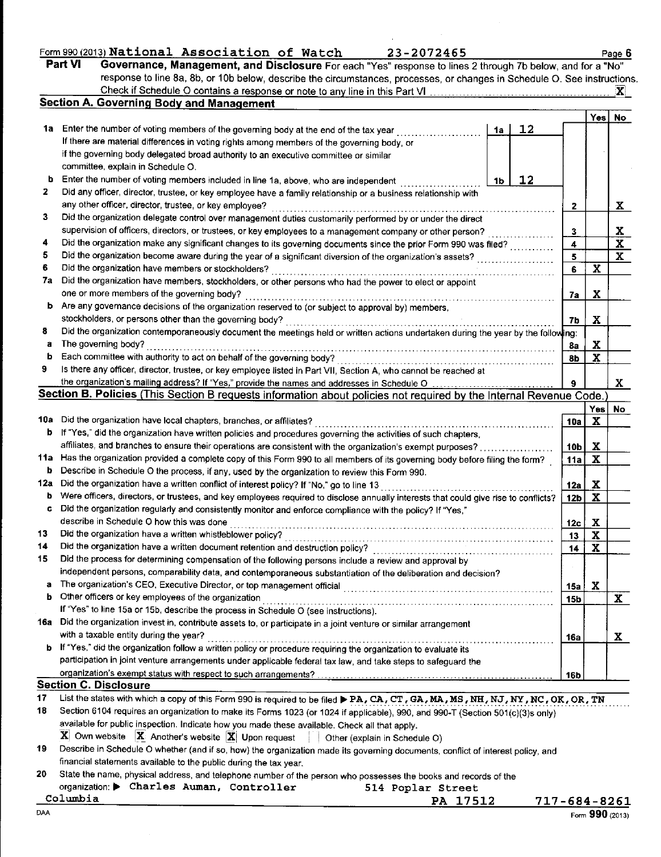|         | Form 990 (2013) National Association of Watch                                                              |  |  |  | 23-2072465 |  |  |  | Page |
|---------|------------------------------------------------------------------------------------------------------------|--|--|--|------------|--|--|--|------|
| Part VI | "Governance, Management, and Disclosure For each "Yes" response to lines 2 through 7b below, and for a "No |  |  |  |            |  |  |  |      |
|         |                                                                                                            |  |  |  |            |  |  |  |      |

23-2072465

Page 6

|        | response to line 8a, 8b, or 10b below, describe the circumstances, processes, or changes in Schedule O. See instructions                                                                                        |                 |                           |                         |
|--------|-----------------------------------------------------------------------------------------------------------------------------------------------------------------------------------------------------------------|-----------------|---------------------------|-------------------------|
|        | Check if Schedule O contains a response or note to any line in this Part VI<br>Section A. Governing Body and Management                                                                                         |                 |                           | X                       |
|        |                                                                                                                                                                                                                 |                 | Yes                       | No                      |
| 1a i   | 12<br>Enter the number of voting members of the governing body at the end of the tax year<br>1a                                                                                                                 |                 |                           |                         |
|        | If there are material differences in voting rights among members of the governing body, or                                                                                                                      |                 |                           |                         |
|        | if the governing body delegated broad authority to an executive committee or similar                                                                                                                            |                 |                           |                         |
|        | committee, explain in Schedule O.                                                                                                                                                                               |                 |                           |                         |
| b      | Enter the number of voting members included in line 1a, above, who are independent<br>12<br>1b                                                                                                                  |                 |                           |                         |
| 2      | Did any officer, director, trustee, or key employee have a family relationship or a business relationship with                                                                                                  |                 |                           |                         |
|        | any other officer, director, trustee, or key employee?                                                                                                                                                          | 2               |                           | $\mathbf{x}$            |
| 3      | Did the organization delegate control over management duties customarily performed by or under the direct                                                                                                       |                 |                           |                         |
|        | supervision of officers, directors, or trustees, or key employees to a management company or other person?                                                                                                      | 3               |                           | <u>x</u>                |
| 4      | Did the organization make any significant changes to its governing documents since the prior Form 990 was filed?                                                                                                | 4               |                           | $\overline{\mathbf{X}}$ |
| 5      | Did the organization become aware during the year of a significant diversion of the organization's assets?                                                                                                      | 5               |                           | $\mathbf{x}$            |
| 6      | Did the organization have members or stockholders?                                                                                                                                                              | 6               | $\mathbf x$               |                         |
| 7а     | Did the organization have members, stockholders, or other persons who had the power to elect or appoint                                                                                                         |                 |                           |                         |
|        | one or more members of the governing body?                                                                                                                                                                      | 7a              | x                         |                         |
| b      | Are any governance decisions of the organization reserved to (or subject to approval by) members,                                                                                                               |                 |                           |                         |
|        | stockholders, or persons other than the governing body?                                                                                                                                                         | 7b              | X                         |                         |
| 8      | Did the organization contemporaneously document the meetings held or written actions undertaken during the year by the following:                                                                               |                 |                           |                         |
| a      | The governing body?                                                                                                                                                                                             | 8a              | X                         |                         |
| b<br>9 | Each committee with authority to act on behalf of the governing body?                                                                                                                                           | 8b              | $\mathbf x$               |                         |
|        | Is there any officer, director, trustee, or key employee listed in Part VII, Section A, who cannot be reached at<br>the organization's mailing address? If "Yes," provide the names and addresses in Schedule O |                 |                           |                         |
|        | Section B. Policies (This Section B requests information about policies not required by the Internal Revenue Code.)                                                                                             | 9               |                           | X                       |
|        |                                                                                                                                                                                                                 |                 | Yes                       | No                      |
|        | 10a Did the organization have local chapters, branches, or affiliates?                                                                                                                                          | 10a             | $\mathbf x$               |                         |
| b      | If "Yes," did the organization have written policies and procedures governing the activities of such chapters,                                                                                                  |                 |                           |                         |
|        | affiliates, and branches to ensure their operations are consistent with the organization's exempt purposes?.                                                                                                    | 10 <sub>b</sub> | X                         |                         |
|        | 11a Has the organization provided a complete copy of this Form 990 to all members of its governing body before filing the form?                                                                                 | 11a             | $\boldsymbol{\mathrm{X}}$ |                         |
| b      | Describe in Schedule O the process, if any, used by the organization to review this Form 990.                                                                                                                   |                 |                           |                         |
| 12a    | Did the organization have a written conflict of interest policy? If "No," go to line 13                                                                                                                         | <b>12a</b>      | X                         |                         |
| b      | Were officers, directors, or trustees, and key employees required to disclose annually interests that could give rise to conflicts?                                                                             | 12 <sub>b</sub> | X                         |                         |
| c      | Did the organization regularly and consistently monitor and enforce compliance with the policy? If "Yes,"                                                                                                       |                 |                           |                         |
|        | describe in Schedule O how this was done                                                                                                                                                                        | 12c             | $\mathbf x$               |                         |
| 13     | Did the organization have a written whistleblower policy?                                                                                                                                                       | 13              | $\mathbf X$               |                         |
| 14     | Did the organization have a written document retention and destruction policy?                                                                                                                                  | 14              | $\mathbf x$               |                         |
| 15     | Did the process for determining compensation of the following persons include a review and approval by                                                                                                          |                 |                           |                         |
|        | independent persons, comparability data, and contemporaneous substantiation of the deliberation and decision?                                                                                                   |                 |                           |                         |
| a      |                                                                                                                                                                                                                 | 15a             | $\mathbf x$               |                         |
| b.     | Other officers or key employees of the organization                                                                                                                                                             | 15b             |                           | $\mathbf{x}$            |
|        | If "Yes" to line 15a or 15b, describe the process in Schedule O (see instructions).                                                                                                                             |                 |                           |                         |
|        | 16a Did the organization invest in, contribute assets to, or participate in a joint venture or similar arrangement<br>with a taxable entity during the year?                                                    |                 |                           |                         |
|        | b If "Yes," did the organization follow a written policy or procedure requiring the organization to evaluate its                                                                                                | 16a             |                           | X                       |
|        | participation in joint venture arrangements under applicable federal tax law, and take steps to safeguard the                                                                                                   |                 |                           |                         |
|        |                                                                                                                                                                                                                 | 16b             |                           |                         |
|        | Section C. Disclosure                                                                                                                                                                                           |                 |                           |                         |
| 17     | List the states with which a copy of this Form 990 is required to be filed > PA, CA, CT, GA, MA, MS, NH, NJ, NY, NC, OK, OR, TN                                                                                 |                 |                           |                         |
| 18     | Section 6104 requires an organization to make its Forms 1023 (or 1024 if applicable), 990, and 990-T (Section 501(c)(3)s only)                                                                                  |                 |                           |                         |
|        | available for public inspection. Indicate how you made these available. Check all that apply.                                                                                                                   |                 |                           |                         |
|        | $\mathbf{X}$ Own website $\ \mathbf{X}\ $ Another's website $\ \mathbf{X}\ $ Upon request<br>Other (explain in Schedule O)                                                                                      |                 |                           |                         |
| 19     | Describe in Schedule O whether (and if so, how) the organization made its governing documents, conflict of interest policy, and                                                                                 |                 |                           |                         |
|        | financial statements available to the public during the tax year.                                                                                                                                               |                 |                           |                         |
| 20     | State the name, physical address, and telephone number of the person who possesses the books and records of the                                                                                                 |                 |                           |                         |
|        | organization: Charles Auman, Controller<br>514 Poplar Street                                                                                                                                                    |                 |                           |                         |
|        | Columbia<br>PA 17512<br><u>717-684-8261</u>                                                                                                                                                                     |                 |                           |                         |

DAA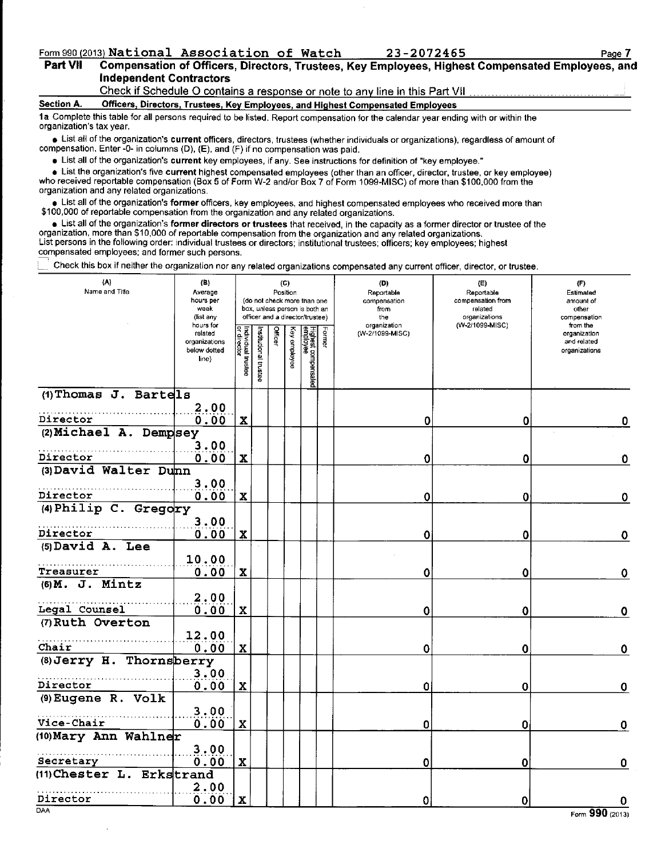## Form 990 (2013) National Association of Watch 23-2072465<br>Part VII Compensation of Officers, Directors, Trustees Key Employees, Highe

#### Compensation of Officers, Directors, Trustees, Key Employees, Highest Compensated Employees, and Independent Contractors Check if Schedule O contains a response or note to any line in this Part VII

#### Section A. Officers, Directors, Trustees, Key Employees, and Highest Compensated Employees

1a Complete this table for all persons required to be listed. Report compensation for the calendar year ending with or within the organization's tax year.

• List all of the organization's current officers, directors, trustees (whether individuals or organizations), regardless of amount of compensation. Enter -0- in columns (D), (E), and (F) if no compensation was paid.

. List all of the organization's current key employees, if any. See instructions for definition of "key employee."

• List the organization's five current highest compensated employees (other than an officer, director, trustee, or key employee) who received reportable compensation (Box 5 of Form W-2 and/or Box 7 of Form 1099-MISC) of more than \$100,000 from the organization and any related organizations.

**.** List all of the organization's former officers, key employees, and highest compensated employees who received more than \$100,000 of reportable compensation from the organization and any related organizations.

. List all of the organization's former directors or trustees that received, in the capacity as a former director or trustee of the organization, more than \$10,000 of reportable compensation from the organization and any related organizations. List persons in the following order: individual trustees or direclors; institutional trustees; officers; key employees; highest compensated employees; and former such persons\_

Check this box if neither the organization nor any related organizations compensated any current officer, director, or trustee.

| (A)<br>Name and Title     | (B)<br>Average<br>hours per<br>week<br>(list any               |                                          |                       |         | (C)<br>Position | (do not check more than one<br>box, unless person is both an<br>officer and a director/trustee) |        | (D)<br>Reportable<br>compensation<br>from<br>the | (E)<br>Reportable<br>compensation from<br>related<br>organizations | (F)<br>Estimated<br>amount of<br>other<br>compensation   |
|---------------------------|----------------------------------------------------------------|------------------------------------------|-----------------------|---------|-----------------|-------------------------------------------------------------------------------------------------|--------|--------------------------------------------------|--------------------------------------------------------------------|----------------------------------------------------------|
|                           | hours for<br>related<br>organizations<br>below dotted<br>line) | Individual trustee<br><u>or director</u> | Institutional trustee | Officer | Key employee    | Highest compensated<br>employee                                                                 | Former | organization<br>(W-2/1099-MISC)                  | (W-2/1099-MISC)                                                    | from the<br>organization<br>and related<br>organizations |
| (1) Thomas J. Bartels     |                                                                |                                          |                       |         |                 |                                                                                                 |        |                                                  |                                                                    |                                                          |
| Director                  | 2.00<br>0.00                                                   | $\mathbf x$                              |                       |         |                 |                                                                                                 |        | 0                                                | 0                                                                  | 0                                                        |
| (2) Michael A. Dempsey    |                                                                |                                          |                       |         |                 |                                                                                                 |        |                                                  |                                                                    |                                                          |
| Director                  | 3.00<br>0.00                                                   | $\mathbf x$                              |                       |         |                 |                                                                                                 |        | 0                                                | 0                                                                  | 0                                                        |
| (3) David Walter Dunn     |                                                                |                                          |                       |         |                 |                                                                                                 |        |                                                  |                                                                    |                                                          |
|                           | 3.00                                                           |                                          |                       |         |                 |                                                                                                 |        |                                                  |                                                                    |                                                          |
| Director                  | 0.00                                                           | $\mathbf x$                              |                       |         |                 |                                                                                                 |        | 0                                                | 0                                                                  | $\mathbf 0$                                              |
| (4) Philip C. Gregory     | 3.00                                                           |                                          |                       |         |                 |                                                                                                 |        |                                                  |                                                                    |                                                          |
| Director                  | 0.00                                                           | X                                        |                       |         |                 |                                                                                                 |        | 0                                                | 0                                                                  | $\mathbf 0$                                              |
| (5) David A. Lee          |                                                                |                                          |                       |         |                 |                                                                                                 |        |                                                  |                                                                    |                                                          |
|                           | 10.00                                                          |                                          |                       |         |                 |                                                                                                 |        |                                                  |                                                                    |                                                          |
| Treasurer                 | 0.00                                                           | $\mathbf x$                              |                       |         |                 |                                                                                                 |        | 0                                                | 0                                                                  | $\boldsymbol{0}$                                         |
| $(6)$ M. J. Mintz         |                                                                |                                          |                       |         |                 |                                                                                                 |        |                                                  |                                                                    |                                                          |
| Legal Counsel             | 2.00<br>0.00                                                   | $\mathbf x$                              |                       |         |                 |                                                                                                 |        | 0                                                | 0                                                                  | $\mathbf 0$                                              |
| (7) Ruth Overton          |                                                                |                                          |                       |         |                 |                                                                                                 |        |                                                  |                                                                    |                                                          |
|                           | 12.00                                                          |                                          |                       |         |                 |                                                                                                 |        |                                                  |                                                                    |                                                          |
| Chair                     | 0.00                                                           | $\mathbf x$                              |                       |         |                 |                                                                                                 |        | 0                                                | 0                                                                  | $\mathbf 0$                                              |
| (8) Jerry H. Thornsberry  |                                                                |                                          |                       |         |                 |                                                                                                 |        |                                                  |                                                                    |                                                          |
| Director                  | 3.00<br>0.00                                                   | $\mathbf x$                              |                       |         |                 |                                                                                                 |        | 0                                                | 0                                                                  | 0                                                        |
| (9) Eugene R. Volk        |                                                                |                                          |                       |         |                 |                                                                                                 |        |                                                  |                                                                    |                                                          |
|                           | 3.00                                                           |                                          |                       |         |                 |                                                                                                 |        |                                                  |                                                                    |                                                          |
| Vice-Chair                | 0.00                                                           | $\mathbf x$                              |                       |         |                 |                                                                                                 |        | 0                                                | 0                                                                  | 0                                                        |
| (10) Mary Ann Wahlner     |                                                                |                                          |                       |         |                 |                                                                                                 |        |                                                  |                                                                    |                                                          |
| Secretary                 | 3.00<br>0.00                                                   | $\mathbf x$                              |                       |         |                 |                                                                                                 |        | 0                                                | 0                                                                  | 0                                                        |
| (11) Chester L. Erkstrand |                                                                |                                          |                       |         |                 |                                                                                                 |        |                                                  |                                                                    |                                                          |
|                           | 2.00                                                           |                                          |                       |         |                 |                                                                                                 |        |                                                  |                                                                    |                                                          |
| Director                  | 0.00                                                           | $\mathbf x$                              |                       |         |                 |                                                                                                 |        | 0                                                | 0                                                                  | 0                                                        |
| <b>DAA</b>                |                                                                |                                          |                       |         |                 |                                                                                                 |        |                                                  |                                                                    | $\overline{\mathbf{a}}$<br>m.                            |

Page 7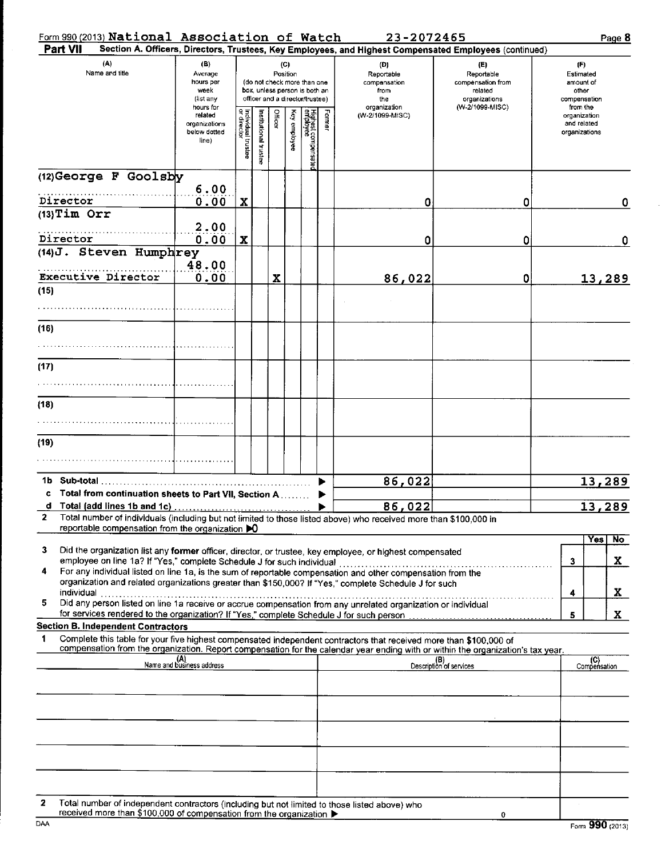## Form 990 (2013) National Association of Watch 23-2072465 Page 8

| Part VII                                                                                                                                                                                                                                                    |                                                                                   |                                   |                       |         |              |                                 |      | Section A. Officers, Directors, Trustees, Key Employees, and Highest Compensated Employees (continued) |                                |                  |                          |              |
|-------------------------------------------------------------------------------------------------------------------------------------------------------------------------------------------------------------------------------------------------------------|-----------------------------------------------------------------------------------|-----------------------------------|-----------------------|---------|--------------|---------------------------------|------|--------------------------------------------------------------------------------------------------------|--------------------------------|------------------|--------------------------|--------------|
| (A)<br>Name and title                                                                                                                                                                                                                                       | (B)<br>(C)<br>Average<br>Position                                                 |                                   |                       |         |              |                                 |      | (D)<br>Reportable                                                                                      | (E)<br>Reportable              | (F)<br>Estimated |                          |              |
|                                                                                                                                                                                                                                                             | hours per<br>(do not check more than one<br>week<br>box, unless person is both an |                                   |                       |         |              |                                 |      | compensation<br>from                                                                                   | compensation from              | amount of        |                          |              |
|                                                                                                                                                                                                                                                             | (list any                                                                         |                                   |                       |         |              | officer and a director/trustee) |      | the                                                                                                    | related<br>organizations       |                  | other<br>compensation    |              |
|                                                                                                                                                                                                                                                             | hours for<br>related                                                              |                                   |                       |         |              |                                 | Lorn | organization<br>(W-2/1099-MISC)                                                                        | (W-2/1099-MISC)                |                  | from the<br>organization |              |
|                                                                                                                                                                                                                                                             | organizations                                                                     |                                   |                       | Officer |              |                                 | Ξ    |                                                                                                        |                                |                  | and related              |              |
|                                                                                                                                                                                                                                                             | below dotted<br>line)                                                             |                                   |                       |         | Key employee |                                 |      |                                                                                                        |                                |                  | organizations            |              |
|                                                                                                                                                                                                                                                             |                                                                                   | Individual trustee<br>or director | Institutional trustee |         |              | Highest compensated<br>employee |      |                                                                                                        |                                |                  |                          |              |
| (12) George F Goolsby                                                                                                                                                                                                                                       |                                                                                   |                                   |                       |         |              |                                 |      |                                                                                                        |                                |                  |                          |              |
|                                                                                                                                                                                                                                                             | 6.00                                                                              |                                   |                       |         |              |                                 |      |                                                                                                        |                                |                  |                          |              |
| Director                                                                                                                                                                                                                                                    | 0.00                                                                              | $\mathbf{x}$                      |                       |         |              |                                 |      | 0                                                                                                      | 0                              |                  |                          | 0            |
| $(13)$ Tim Orr                                                                                                                                                                                                                                              |                                                                                   |                                   |                       |         |              |                                 |      |                                                                                                        |                                |                  |                          |              |
| Director                                                                                                                                                                                                                                                    | 2.00<br>0.00                                                                      | $\mathbf x$                       |                       |         |              |                                 |      | 0                                                                                                      | 0                              |                  |                          |              |
| (14) J. Steven Humphrey                                                                                                                                                                                                                                     |                                                                                   |                                   |                       |         |              |                                 |      |                                                                                                        |                                |                  |                          | 0            |
|                                                                                                                                                                                                                                                             | 48.00                                                                             |                                   |                       |         |              |                                 |      |                                                                                                        |                                |                  |                          |              |
| Executive Director                                                                                                                                                                                                                                          | 0.00                                                                              |                                   |                       | X       |              |                                 |      | 86,022                                                                                                 | 0                              |                  |                          | 13,289       |
| (15)                                                                                                                                                                                                                                                        |                                                                                   |                                   |                       |         |              |                                 |      |                                                                                                        |                                |                  |                          |              |
|                                                                                                                                                                                                                                                             |                                                                                   |                                   |                       |         |              |                                 |      |                                                                                                        |                                |                  |                          |              |
| (16)                                                                                                                                                                                                                                                        |                                                                                   |                                   |                       |         |              |                                 |      |                                                                                                        |                                |                  |                          |              |
|                                                                                                                                                                                                                                                             |                                                                                   |                                   |                       |         |              |                                 |      |                                                                                                        |                                |                  |                          |              |
|                                                                                                                                                                                                                                                             |                                                                                   |                                   |                       |         |              |                                 |      |                                                                                                        |                                |                  |                          |              |
| (17)                                                                                                                                                                                                                                                        |                                                                                   |                                   |                       |         |              |                                 |      |                                                                                                        |                                |                  |                          |              |
|                                                                                                                                                                                                                                                             |                                                                                   |                                   |                       |         |              |                                 |      |                                                                                                        |                                |                  |                          |              |
|                                                                                                                                                                                                                                                             |                                                                                   |                                   |                       |         |              |                                 |      |                                                                                                        |                                |                  |                          |              |
| (18)                                                                                                                                                                                                                                                        |                                                                                   |                                   |                       |         |              |                                 |      |                                                                                                        |                                |                  |                          |              |
|                                                                                                                                                                                                                                                             |                                                                                   |                                   |                       |         |              |                                 |      |                                                                                                        |                                |                  |                          |              |
| (19)                                                                                                                                                                                                                                                        |                                                                                   |                                   |                       |         |              |                                 |      |                                                                                                        |                                |                  |                          |              |
|                                                                                                                                                                                                                                                             |                                                                                   |                                   |                       |         |              |                                 |      |                                                                                                        |                                |                  |                          |              |
|                                                                                                                                                                                                                                                             |                                                                                   |                                   |                       |         |              |                                 |      |                                                                                                        |                                |                  |                          |              |
| Sub-total<br>1b.                                                                                                                                                                                                                                            |                                                                                   |                                   |                       |         |              |                                 | ▶    | 86,022                                                                                                 |                                |                  |                          | 13,289       |
| Total from continuation sheets to Part VII, Section A<br>c                                                                                                                                                                                                  |                                                                                   |                                   |                       |         |              |                                 |      |                                                                                                        |                                |                  |                          |              |
| Total (add lines 1b and 1c)<br>d<br>2<br>Total number of individuals (including but not limited to those listed above) who received more than \$100,000 in                                                                                                  |                                                                                   |                                   |                       |         |              |                                 | ▶    | 86,022                                                                                                 |                                |                  |                          | 13,289       |
| reportable compensation from the organization DO                                                                                                                                                                                                            |                                                                                   |                                   |                       |         |              |                                 |      |                                                                                                        |                                |                  |                          |              |
|                                                                                                                                                                                                                                                             |                                                                                   |                                   |                       |         |              |                                 |      |                                                                                                        |                                |                  |                          | Yes   No     |
| 3<br>Did the organization list any former officer, director, or trustee, key employee, or highest compensated                                                                                                                                               |                                                                                   |                                   |                       |         |              |                                 |      |                                                                                                        |                                |                  | 3                        | $\mathbf{x}$ |
| For any individual listed on line 1a, is the sum of reportable compensation and other compensation from the<br>4                                                                                                                                            |                                                                                   |                                   |                       |         |              |                                 |      |                                                                                                        |                                |                  |                          |              |
| organization and related organizations greater than \$150,000? If "Yes," complete Schedule J for such                                                                                                                                                       |                                                                                   |                                   |                       |         |              |                                 |      |                                                                                                        |                                |                  |                          | X            |
| individual<br>Did any person listed on line 1a receive or accrue compensation from any unrelated organization or individual<br>5                                                                                                                            |                                                                                   |                                   |                       |         |              |                                 |      |                                                                                                        |                                |                  | 4                        |              |
|                                                                                                                                                                                                                                                             |                                                                                   |                                   |                       |         |              |                                 |      |                                                                                                        |                                |                  | 5                        | X.           |
| <b>Section B. Independent Contractors</b>                                                                                                                                                                                                                   |                                                                                   |                                   |                       |         |              |                                 |      |                                                                                                        |                                |                  |                          |              |
| Complete this table for your five highest compensated independent contractors that received more than \$100,000 of<br>1<br>compensation from the organization. Report compensation for the calendar year ending with or within the organization's tax year. |                                                                                   |                                   |                       |         |              |                                 |      |                                                                                                        |                                |                  |                          |              |
|                                                                                                                                                                                                                                                             | (A)<br>Name and business address                                                  |                                   |                       |         |              |                                 |      |                                                                                                        | (B)<br>Description of services |                  | Compensation             |              |
|                                                                                                                                                                                                                                                             |                                                                                   |                                   |                       |         |              |                                 |      |                                                                                                        |                                |                  |                          |              |
|                                                                                                                                                                                                                                                             |                                                                                   |                                   |                       |         |              |                                 |      |                                                                                                        |                                |                  |                          |              |
|                                                                                                                                                                                                                                                             |                                                                                   |                                   |                       |         |              |                                 |      |                                                                                                        |                                |                  |                          |              |
|                                                                                                                                                                                                                                                             |                                                                                   |                                   |                       |         |              |                                 |      |                                                                                                        |                                |                  |                          |              |
|                                                                                                                                                                                                                                                             |                                                                                   |                                   |                       |         |              |                                 |      |                                                                                                        |                                |                  |                          |              |
|                                                                                                                                                                                                                                                             |                                                                                   |                                   |                       |         |              |                                 |      |                                                                                                        |                                |                  |                          |              |
|                                                                                                                                                                                                                                                             |                                                                                   |                                   |                       |         |              |                                 |      |                                                                                                        |                                |                  |                          |              |
|                                                                                                                                                                                                                                                             |                                                                                   |                                   |                       |         |              |                                 |      |                                                                                                        |                                |                  |                          |              |
|                                                                                                                                                                                                                                                             |                                                                                   |                                   |                       |         |              |                                 |      |                                                                                                        |                                |                  |                          |              |
| Total number of independent contractors (including but not limited to these listed above) who                                                                                                                                                               |                                                                                   |                                   |                       |         |              |                                 |      |                                                                                                        |                                |                  |                          |              |

Total number of independent contractors (including but not limited to those listed above) who<br>received more than \$100,000 of compensation from the organization

 $\mathbf{0}$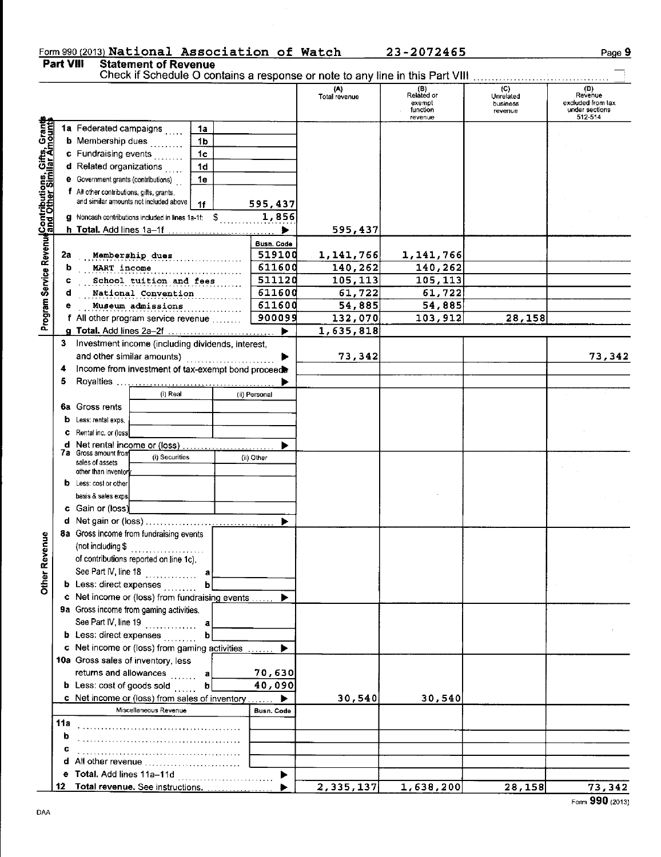# Form 990 (2013) National Association of Watch 23-2072465<br>Part VIII Statement of Revenue<br>Check if Schedule O contains a response or note to any line in this Part VIII ...............................

#### Page 9

÷

|                                                                                                                                                     |     |                                                                                     |                |               | (A)<br>Total revenue | (B)<br>Related or<br>exempt<br>function<br>revenue | (C)<br>Unrelated<br>business<br>revenue | (D)<br>Revenue<br>excluded from tax<br>under sections<br>512-514 |
|-----------------------------------------------------------------------------------------------------------------------------------------------------|-----|-------------------------------------------------------------------------------------|----------------|---------------|----------------------|----------------------------------------------------|-----------------------------------------|------------------------------------------------------------------|
|                                                                                                                                                     |     | 1a Federated campaigns                                                              | 1a             |               |                      |                                                    |                                         |                                                                  |
|                                                                                                                                                     |     | <b>b</b> Membership dues                                                            | 1 <sub>b</sub> |               |                      |                                                    |                                         |                                                                  |
|                                                                                                                                                     |     | c Fundraising events                                                                | 1 <sub>c</sub> |               |                      |                                                    |                                         |                                                                  |
|                                                                                                                                                     |     | d Related organizations                                                             | 1d             |               |                      |                                                    |                                         |                                                                  |
|                                                                                                                                                     |     | <b>e</b> Government grants (contributions)                                          | 1e             |               |                      |                                                    |                                         |                                                                  |
| Program Service Revenu <mark>d</mark> Contributions, Gifts, Grant <mark>s</mark><br>Program Service Revenu <mark>d</mark> and Other Similar Amounts |     | f All other contributions, gifts, grants,<br>and similar amounts not included above | 1f             | 595,437       |                      |                                                    |                                         |                                                                  |
|                                                                                                                                                     |     | g Noncash contributions included in lines 1a-1f: \$<br>h Total. Add lines 1a-1f     |                | 1,856         | 595,437              |                                                    |                                         |                                                                  |
|                                                                                                                                                     |     |                                                                                     |                | Busn. Code    |                      |                                                    |                                         |                                                                  |
|                                                                                                                                                     | 2a  | Membership dues                                                                     |                | 519100        | 1,141,766            | 1,141,766                                          |                                         |                                                                  |
|                                                                                                                                                     | b   | MART income                                                                         |                | 611600        | 140,262              | 140,262                                            |                                         |                                                                  |
|                                                                                                                                                     | c   | School tuition and fees                                                             |                | 511120        | 105,113              | 105,113                                            |                                         |                                                                  |
|                                                                                                                                                     | d   | National Convention                                                                 |                | 611600        | 61,722               | 61,722                                             |                                         |                                                                  |
|                                                                                                                                                     | е   | Museum admissions                                                                   |                | 611600        | 54,885               | 54,885                                             |                                         |                                                                  |
|                                                                                                                                                     |     | f All other program service revenue                                                 |                | 900099        | 132,070              | 103,912                                            | 28,158                                  |                                                                  |
|                                                                                                                                                     |     |                                                                                     |                | ь             | 1,635,818            |                                                    |                                         |                                                                  |
|                                                                                                                                                     |     | 3 Investment income (including dividends, interest,                                 |                |               |                      |                                                    |                                         |                                                                  |
|                                                                                                                                                     |     | and other similar amounts)                                                          | .              | ▶             | 73,342               |                                                    |                                         | 73,342                                                           |
|                                                                                                                                                     | 4   | Income from investment of tax-exempt bond proceeds                                  |                |               |                      |                                                    |                                         |                                                                  |
|                                                                                                                                                     | 5   |                                                                                     |                |               |                      |                                                    |                                         |                                                                  |
|                                                                                                                                                     |     | (i) Real                                                                            |                | (ii) Personal |                      |                                                    |                                         |                                                                  |
|                                                                                                                                                     |     | 6a Gross rents                                                                      |                |               |                      |                                                    |                                         |                                                                  |
|                                                                                                                                                     | b   | Less: rental exps.                                                                  |                |               |                      |                                                    |                                         |                                                                  |
|                                                                                                                                                     |     | Rental inc. or (loss)                                                               |                |               |                      |                                                    |                                         |                                                                  |
|                                                                                                                                                     | d   |                                                                                     |                | ▶             |                      |                                                    |                                         |                                                                  |
|                                                                                                                                                     |     | 7a Gross amount from<br>(i) Securities<br>sales of assets                           |                | (ii) Other    |                      |                                                    |                                         |                                                                  |
|                                                                                                                                                     |     | other than inventor                                                                 |                |               |                      |                                                    |                                         |                                                                  |
|                                                                                                                                                     |     | Less: cost or other                                                                 |                |               |                      |                                                    |                                         |                                                                  |
|                                                                                                                                                     |     | basis & sales exps.                                                                 |                |               |                      |                                                    |                                         |                                                                  |
|                                                                                                                                                     |     | c Gain or (loss)                                                                    |                |               |                      |                                                    |                                         |                                                                  |
|                                                                                                                                                     |     |                                                                                     |                |               |                      |                                                    |                                         |                                                                  |
|                                                                                                                                                     |     | 8a Gross income from fundraising events                                             |                |               |                      |                                                    |                                         |                                                                  |
| Revenue                                                                                                                                             |     | (not including \$                                                                   |                |               |                      |                                                    |                                         |                                                                  |
|                                                                                                                                                     |     | of contributions reported on line 1c).                                              |                |               |                      |                                                    |                                         |                                                                  |
|                                                                                                                                                     |     | See Part IV, line 18                                                                |                |               |                      |                                                    |                                         |                                                                  |
| <b>Other</b>                                                                                                                                        |     | <b>b</b> Less: direct expenses                                                      |                |               |                      |                                                    |                                         |                                                                  |
|                                                                                                                                                     |     | c Net income or (loss) from fundraising events                                      |                |               |                      |                                                    |                                         |                                                                  |
|                                                                                                                                                     |     | 9a Gross income from gaming activities.                                             |                |               |                      |                                                    |                                         |                                                                  |
|                                                                                                                                                     |     | See Part IV, line 19                                                                | a              |               |                      |                                                    |                                         |                                                                  |
|                                                                                                                                                     |     | <b>b</b> Less: direct expenses                                                      | b              |               |                      |                                                    |                                         |                                                                  |
|                                                                                                                                                     |     | c Net income or (loss) from gaming activities                                       |                | ▶             |                      |                                                    |                                         |                                                                  |
|                                                                                                                                                     |     | 10a Gross sales of inventory, less                                                  |                |               |                      |                                                    |                                         |                                                                  |
|                                                                                                                                                     |     | returns and allowances                                                              | a              | 70,630        |                      |                                                    |                                         |                                                                  |
|                                                                                                                                                     |     | <b>b</b> Less: cost of goods sold                                                   | b              | 40,090        |                      |                                                    |                                         |                                                                  |
|                                                                                                                                                     |     | c Net income or (loss) from sales of inventory                                      |                |               | 30,540               | 30,540                                             |                                         |                                                                  |
|                                                                                                                                                     |     | Miscellaneous Revenue                                                               |                | Busn, Code    |                      |                                                    |                                         |                                                                  |
|                                                                                                                                                     | 11a |                                                                                     |                |               |                      |                                                    |                                         |                                                                  |
|                                                                                                                                                     | b   |                                                                                     |                |               |                      |                                                    |                                         |                                                                  |
|                                                                                                                                                     |     |                                                                                     |                |               |                      |                                                    |                                         |                                                                  |
|                                                                                                                                                     |     | d All other revenue                                                                 |                |               |                      |                                                    |                                         |                                                                  |
|                                                                                                                                                     |     | e Total. Add lines 11a-11d                                                          |                |               |                      |                                                    |                                         |                                                                  |
|                                                                                                                                                     |     | 12 Total revenue. See instructions.                                                 |                |               | 2,335,137            | 1,638,200                                          | 28,158                                  | 73,342                                                           |

Form 990 (2013)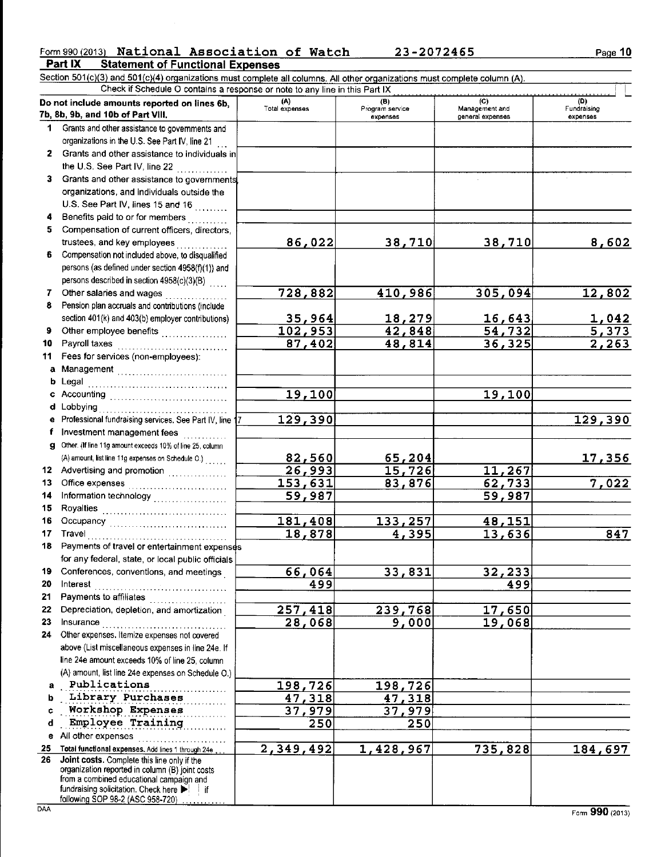#### Form 990 (2013) National Association of Watch 23-2072465 Part IX **Statement of Functional Expenses**

Section 501(c)(3) and 501(c)(4) organizations must complete all columns. All other organizations must complete column (A).<br>Check if Schedule O contains a response or note to any line in this Part IX

|              | Do not include amounts reported on lines 6b,<br>7b, 8b, 9b, and 10b of Part VIII.             | (A)<br>Total expenses | (B)<br>Program service | (C)<br>Management and | (D)<br>Fundraising |
|--------------|-----------------------------------------------------------------------------------------------|-----------------------|------------------------|-----------------------|--------------------|
|              |                                                                                               |                       | expenses               | general expenses      | expenses           |
| 1.           | Grants and other assistance to governments and                                                |                       |                        |                       |                    |
|              | organizations in the U.S. See Part IV, line 21                                                |                       |                        |                       |                    |
|              | 2 Grants and other assistance to individuals in                                               |                       |                        |                       |                    |
|              | the U.S. See Part IV, line 22 $\ldots$                                                        |                       |                        |                       |                    |
|              | 3 Grants and other assistance to governments                                                  |                       |                        |                       |                    |
|              | organizations, and individuals outside the                                                    |                       |                        |                       |                    |
|              | U.S. See Part IV, lines 15 and 16                                                             |                       |                        |                       |                    |
| 4            | Benefits paid to or for members                                                               |                       |                        |                       |                    |
| 5.           | Compensation of current officers, directors,                                                  |                       |                        |                       |                    |
|              | trustees, and key employees                                                                   | 86,022                | 38,710                 | 38,710                | 8,602              |
| 6.           | Compensation not included above, to disqualified                                              |                       |                        |                       |                    |
|              | persons (as defined under section 4958(f)(1)) and                                             |                       |                        |                       |                    |
|              | persons described in section 4958(c)(3)(B)                                                    |                       |                        |                       |                    |
| 7.           | Other salaries and wages                                                                      | 728,882               | 410,986                | 305,094               | 12,802             |
| 8            | Pension plan accruals and contributions (include                                              |                       |                        |                       |                    |
|              | section 401(k) and 403(b) employer contributions)                                             | 35,964                | 18,279                 | 16,643                | <u>1,042</u>       |
| 9.           | Other employee benefits                                                                       | $\overline{102, 953}$ | 42,848                 | 54, 732               | 5,373              |
| 10           | Payroll taxes                                                                                 | 87,402                | 48,814                 | 36, 325               | 2,263              |
| 11           | Fees for services (non-employees):                                                            |                       |                        |                       |                    |
| a            |                                                                                               |                       |                        |                       |                    |
|              |                                                                                               |                       |                        |                       |                    |
| b            |                                                                                               |                       |                        |                       |                    |
| c            | Accounting                                                                                    | 19,100                |                        | 19,100                |                    |
| d            | Lobbying                                                                                      |                       |                        |                       |                    |
| e            | Professional fundraising services. See Part IV, line 17                                       | 129,390               |                        |                       | <u> 129,390</u>    |
| f            | Investment management fees                                                                    |                       |                        |                       |                    |
| $\mathbf{q}$ | Other. (If line 11g amount exceeds 10% of line 25, column                                     |                       |                        |                       |                    |
|              | (A) amount, list line 11g expenses on Schedule O.)                                            | 82,560                | <u>65,204</u>          |                       | <u> 17,356</u>     |
|              | 12 Advertising and promotion [1] [1] Advertising and promotion                                | 26,993                | 15,726                 | 11,267                |                    |
| 13           |                                                                                               | 153,631               | 83,876                 | 62, 733               | 7,022              |
| 14           | Information technology                                                                        | 59,987                |                        | 59,987                |                    |
| 15           |                                                                                               |                       |                        |                       |                    |
| 16           |                                                                                               | 181,408               | <u>133,257</u>         | 48,151                |                    |
| 17           |                                                                                               | 18,878                | 4,395                  | 13,636                | 847                |
| 18           | Payments of travel or entertainment expenses                                                  |                       |                        |                       |                    |
|              | for any federal, state, or local public officials                                             |                       |                        |                       |                    |
| 19.          | Conferences, conventions, and meetings                                                        | 66,064                | 33,831                 | 32,233                |                    |
| 20           | Interest                                                                                      | 499                   |                        | 499                   |                    |
| 21           | Payments to affiliates                                                                        |                       |                        |                       |                    |
| 22           | Depreciation, depletion, and amortization                                                     | 257,418               | 239,768                | 17,650                |                    |
| 23           | Insurance                                                                                     | 28,068                |                        |                       |                    |
| 24           | Other expenses. Itemize expenses not covered                                                  |                       | 9,000                  | 19,068                |                    |
|              |                                                                                               |                       |                        |                       |                    |
|              | above (List miscellaneous expenses in line 24e. If                                            |                       |                        |                       |                    |
|              | line 24e amount exceeds 10% of line 25, column                                                |                       |                        |                       |                    |
|              | (A) amount, list line 24e expenses on Schedule O.)                                            |                       |                        |                       |                    |
| a            | Publications                                                                                  | 198,726               | 198,726                |                       |                    |
| b            | Library Purchases                                                                             | 47,318                | 47,318                 |                       |                    |
| c            | Workshop Expenses                                                                             | 37,979                | 37,979                 |                       |                    |
| d            | Employee Training                                                                             | 250                   | 250                    |                       |                    |
|              | e All other expenses                                                                          |                       |                        |                       |                    |
| 25           | Total functional expenses, Add lines 1 through 24e                                            | 2,349,492             | 1,428,967              | 735,828               | <u>184,697</u>     |
| 26           | Joint costs. Complete this line only if the                                                   |                       |                        |                       |                    |
|              | organization reported in column (B) joint costs                                               |                       |                        |                       |                    |
|              | from a combined educational campaign and<br>fundraising solicitation. Check here bel-<br>- if |                       |                        |                       |                    |
|              | following SOP 98-2 (ASC 958-720)                                                              |                       |                        |                       |                    |
| DAA          |                                                                                               |                       |                        |                       | Form 990 (2013)    |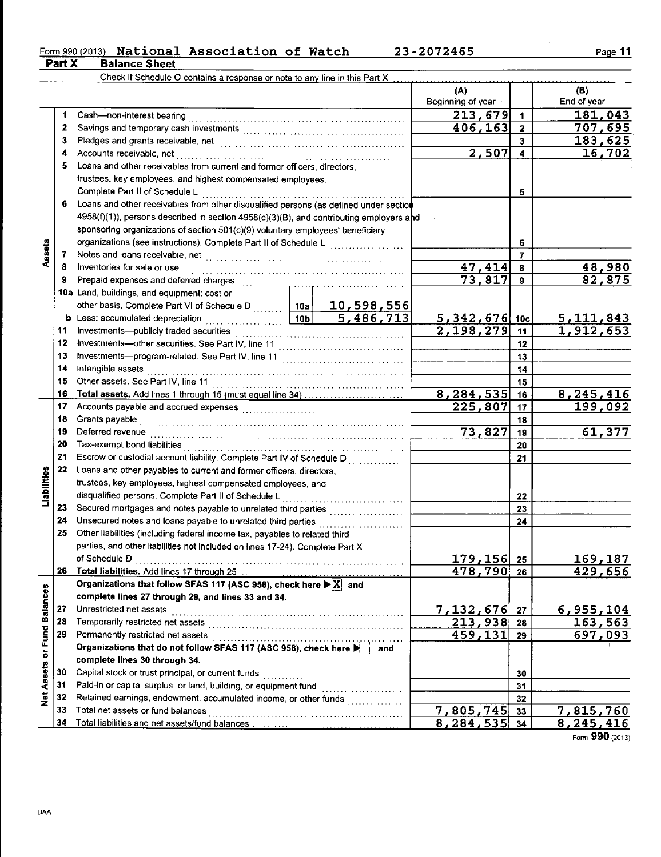# Form 990 (2013) National Association of Watch 23-2072465<br>Part X Balance Sheet

|                             |    | Check if Schedule O contains a response or note to any line in this Part X                   |                       |                          |                |                    |
|-----------------------------|----|----------------------------------------------------------------------------------------------|-----------------------|--------------------------|----------------|--------------------|
|                             |    |                                                                                              |                       | (A)<br>Beginning of year |                | (B)<br>End of year |
|                             | 1  |                                                                                              |                       | 213,679                  | $\mathbf{1}$   | 181,043            |
|                             | 2  |                                                                                              | 406, 163              | $\overline{\mathbf{2}}$  | 707,695        |                    |
|                             | 3  |                                                                                              |                       | 3                        | 183,625        |                    |
|                             | 4  |                                                                                              |                       | 2,507                    | 4              | 16,702             |
|                             | 5  | Loans and other receivables from current and former officers, directors,                     |                       |                          |                |                    |
|                             |    | trustees, key employees, and highest compensated employees.                                  |                       |                          |                |                    |
|                             |    | Complete Part II of Schedule L                                                               |                       |                          | 5              |                    |
|                             | 6  | Loans and other receivables from other disqualified persons (as defined under section        |                       |                          |                |                    |
|                             |    | $4958(f)(1)$ , persons described in section $4958(c)(3)(B)$ , and contributing employers and |                       |                          |                |                    |
|                             |    | sponsoring organizations of section 501(c)(9) voluntary employees' beneficiary               |                       |                          |                |                    |
|                             |    | organizations (see instructions). Complete Part II of Schedule L                             |                       |                          | 6              |                    |
| Assets                      | 7  |                                                                                              | . <b>.</b> .          |                          | $\overline{7}$ |                    |
|                             | 8  | Inventories for sale or use                                                                  |                       | 47,414                   | $\bf{8}$       | 48,980             |
|                             | 9  |                                                                                              |                       | 73,817                   | $\mathbf{9}$   | 82,875             |
|                             |    | 10a Land, buildings, and equipment: cost or                                                  |                       |                          |                |                    |
|                             |    | other basis. Complete Part VI of Schedule D    10a   10, 598, 556                            |                       |                          |                |                    |
|                             |    |                                                                                              |                       | 5, 342, 676 10c          |                | <u>5,111,843</u>   |
|                             | 11 |                                                                                              |                       | 2,198,279                | 11             | <u>1,912,653</u>   |
|                             | 12 |                                                                                              |                       |                          | 12             |                    |
|                             | 13 |                                                                                              |                       |                          | 13             |                    |
|                             | 14 | Intangible assets                                                                            |                       |                          | 14             |                    |
|                             | 15 | Other assets. See Part IV, line 11                                                           |                       |                          |                |                    |
|                             | 16 |                                                                                              |                       | $\overline{8,284,535}$   | 15             |                    |
|                             | 17 | Total assets. Add lines 1 through 15 (must equal line 34)                                    |                       | 225,807                  | 16             | 8, 245, 416        |
|                             | 18 |                                                                                              |                       | 17                       | 199,092        |                    |
|                             | 19 | Grants payable                                                                               |                       | 73,827                   | 18             |                    |
|                             |    | Deferred revenue                                                                             |                       |                          | 19             | 61,377             |
|                             | 20 |                                                                                              |                       |                          | 20             |                    |
|                             | 21 | Escrow or custodial account liability. Complete Part IV of Schedule D                        |                       |                          | 21             |                    |
| Liabilities                 | 22 | Loans and other payables to current and former officers, directors,                          |                       |                          |                |                    |
|                             |    | trustees, key employees, highest compensated employees, and                                  |                       |                          |                |                    |
|                             |    | disqualified persons. Complete Part II of Schedule L                                         | . <b>. .</b> <i>.</i> |                          | 22             |                    |
|                             | 23 | Secured mortgages and notes payable to unrelated third parties                               |                       |                          | 23             |                    |
|                             | 24 |                                                                                              |                       |                          | 24             |                    |
|                             | 25 | Other liabilities (including federal income tax, payables to related third                   |                       |                          |                |                    |
|                             |    | parties, and other liabilities not included on lines 17-24). Complete Part X                 |                       |                          |                |                    |
|                             |    | of Schedule D                                                                                |                       | 179,156                  | 25             | 169,187            |
|                             | 26 |                                                                                              |                       | 478,790                  | 26             | 429,656            |
|                             |    | Organizations that follow SFAS 117 (ASC 958), check here $\blacktriangleright X$ and         |                       |                          |                |                    |
|                             |    | complete lines 27 through 29, and lines 33 and 34.                                           |                       |                          |                |                    |
|                             | 27 | Unrestricted net assets                                                                      |                       | 7,132,676                | 27             | 6,955,104          |
|                             | 28 |                                                                                              |                       | $\overline{213,938}$ 28  |                | 163,563            |
|                             | 29 | Permanently restricted net assets                                                            |                       | 459, 131                 | 29             | 697,093            |
|                             |    | Organizations that do not follow SFAS 117 (ASC 958), check here                              | ∣ and                 |                          |                |                    |
|                             |    | complete lines 30 through 34.                                                                |                       |                          |                |                    |
|                             | 30 | Capital stock or trust principal, or current funds                                           |                       |                          | 30             |                    |
| Net Assets or Fund Balances | 31 | Paid-in or capital surplus, or land, building, or equipment fund [                           |                       |                          | 31             |                    |
|                             | 32 | Retained earnings, endowment, accumulated income, or other funds                             |                       |                          | 32             |                    |
|                             | 33 | Total net assets or fund balances                                                            |                       | 7,805,745                | 33             | 7,815,760          |
|                             | 34 |                                                                                              | 8, 284, 535           | 34                       | 8,245,416      |                    |

Form  $990(2013)$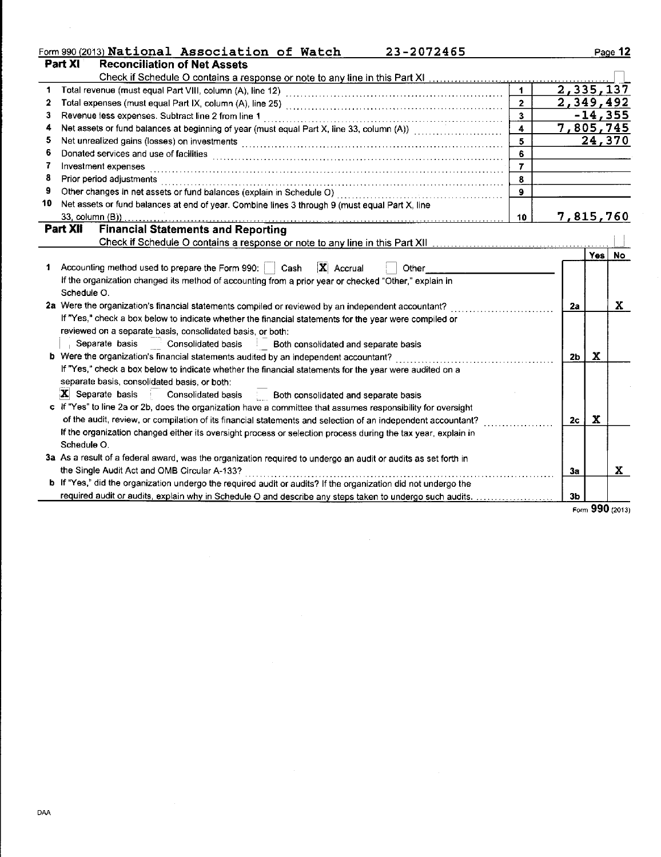|    | Form 990 (2013) National Association of Watch<br>23-2072465                                                   |                         |                        |        | Page 12        |
|----|---------------------------------------------------------------------------------------------------------------|-------------------------|------------------------|--------|----------------|
|    | Part XI<br><b>Reconciliation of Net Assets</b>                                                                |                         |                        |        |                |
|    |                                                                                                               |                         |                        |        |                |
| 1  |                                                                                                               | $\blacksquare$          | $\overline{2,335,137}$ |        |                |
| 2  |                                                                                                               | $\overline{2}$          | 2,349,492              |        |                |
| 3  | Revenue less expenses. Subtract line 2 from line 1                                                            | $\overline{\mathbf{3}}$ |                        |        | <u>-14,355</u> |
| 4  | Net assets or fund balances at beginning of year (must equal Part X, line 33, column (A))                     | $\overline{\mathbf{4}}$ | 7,805,745              |        |                |
| 5  | Net unrealized gains (losses) on investments [1999] www.community.com/www.community.com/www.com/www.com/      | $\overline{\mathbf{5}}$ |                        |        | 24,370         |
| 6  |                                                                                                               | 6                       |                        |        |                |
| 7  | Investment expenses                                                                                           |                         |                        |        |                |
| 8  | Prior period adjustments                                                                                      | 8                       |                        |        |                |
| 9  |                                                                                                               |                         |                        |        |                |
| 10 | Net assets or fund balances at end of year. Combine lines 3 through 9 (must equal Part X, line                |                         |                        |        |                |
|    |                                                                                                               | 10                      | 7,815,760              |        |                |
|    | <b>Part XII</b><br><b>Financial Statements and Reporting</b>                                                  |                         |                        |        |                |
|    |                                                                                                               |                         |                        |        |                |
|    |                                                                                                               |                         |                        | Yes No |                |
|    | $\mathbf{X}$ Accrual<br>Accounting method used to prepare the Form 990:     Cash<br>Other                     |                         |                        |        |                |
|    | If the organization changed its method of accounting from a prior year or checked "Other," explain in         |                         |                        |        |                |
|    | Schedule O.                                                                                                   |                         |                        |        |                |
|    | 2a Were the organization's financial statements compiled or reviewed by an independent accountant?            |                         | 2a                     |        | x              |
|    | If "Yes," check a box below to indicate whether the financial statements for the year were compiled or        |                         |                        |        |                |
|    | reviewed on a separate basis, consolidated basis, or both:                                                    |                         |                        |        |                |
|    | Separate basis Consolidated basis Both consolidated and separate basis                                        |                         |                        |        |                |
|    |                                                                                                               |                         | 2 <sub>b</sub>         | x      |                |
|    | If "Yes," check a box below to indicate whether the financial statements for the year were audited on a       |                         |                        |        |                |
|    | separate basis, consolidated basis, or both:                                                                  |                         |                        |        |                |
|    | $ \mathbf{X} $ Separate basis Consolidated basis Both consolidated and separate basis                         |                         |                        |        |                |
|    | c If "Yes" to line 2a or 2b, does the organization have a committee that assumes responsibility for oversight |                         |                        |        |                |
|    | of the audit, review, or compilation of its financial statements and selection of an independent accountant?  |                         | 2c                     | X      |                |

| If the organization changed either its oversight process or selection process during the tax year, explain in         |  |
|-----------------------------------------------------------------------------------------------------------------------|--|
| Schedule O                                                                                                            |  |
| 3a As a result of a federal award, was the organization required to undergo an audit or audits as set forth in        |  |
| the Single Audit Act and OMB Circular A-133?                                                                          |  |
| <b>b</b> If "Yes," did the organization undergo the required audit or audits? If the organization did not undergo the |  |

|  | required audit or audits, explain why in Schedule O and describe any steps taken to undergo such audits |
|--|---------------------------------------------------------------------------------------------------------|

 $r = 990 (2013)$ 

 $3a$ 

 $3<sub>b</sub>$ 

 $\mathbf{x}$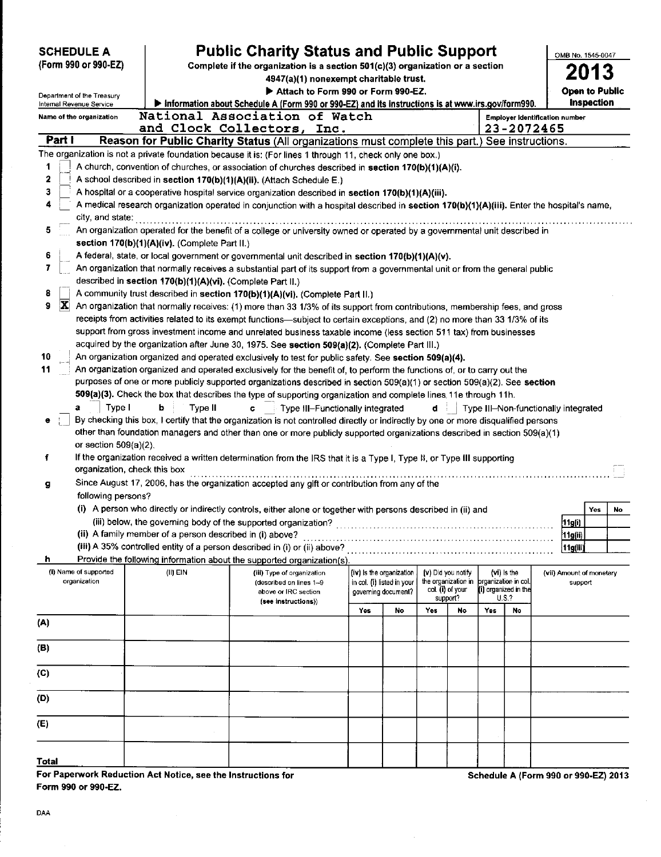| <b>SCHEDULE A</b>                                                                                                             | (Form 990 or 990-EZ)                                        |                                                                                                                             | <b>Public Charity Status and Public Support</b><br>Complete if the organization is a section 501(c)(3) organization or a section<br>4947(a)(1) nonexempt charitable trust.                                                                                                                                                                                                                                                                                                                                                                                                                                                                                                                                                                                                                                                                                                                                                                                                                                                                                                                                                                                                                                                                                                                                                                                                                                                                                                                                                                                                                                                                                                                                                                                                                                                                                                                                                                                                                                                                                                                                                                                           |                                                                                                                     |                                                                               |     |                                                                           |                      |                                                     |                   |                                      | OMB No. 1545-0047 |  |
|-------------------------------------------------------------------------------------------------------------------------------|-------------------------------------------------------------|-----------------------------------------------------------------------------------------------------------------------------|----------------------------------------------------------------------------------------------------------------------------------------------------------------------------------------------------------------------------------------------------------------------------------------------------------------------------------------------------------------------------------------------------------------------------------------------------------------------------------------------------------------------------------------------------------------------------------------------------------------------------------------------------------------------------------------------------------------------------------------------------------------------------------------------------------------------------------------------------------------------------------------------------------------------------------------------------------------------------------------------------------------------------------------------------------------------------------------------------------------------------------------------------------------------------------------------------------------------------------------------------------------------------------------------------------------------------------------------------------------------------------------------------------------------------------------------------------------------------------------------------------------------------------------------------------------------------------------------------------------------------------------------------------------------------------------------------------------------------------------------------------------------------------------------------------------------------------------------------------------------------------------------------------------------------------------------------------------------------------------------------------------------------------------------------------------------------------------------------------------------------------------------------------------------|---------------------------------------------------------------------------------------------------------------------|-------------------------------------------------------------------------------|-----|---------------------------------------------------------------------------|----------------------|-----------------------------------------------------|-------------------|--------------------------------------|-------------------|--|
|                                                                                                                               | Department of the Treasury                                  |                                                                                                                             |                                                                                                                                                                                                                                                                                                                                                                                                                                                                                                                                                                                                                                                                                                                                                                                                                                                                                                                                                                                                                                                                                                                                                                                                                                                                                                                                                                                                                                                                                                                                                                                                                                                                                                                                                                                                                                                                                                                                                                                                                                                                                                                                                                      | Attach to Form 990 or Form 990-EZ.                                                                                  |                                                                               |     |                                                                           |                      |                                                     |                   |                                      |                   |  |
| Information about Schedule A (Form 990 or 990-EZ) and its instructions is at www.irs.gov/form990.<br>Internal Revenue Service |                                                             |                                                                                                                             |                                                                                                                                                                                                                                                                                                                                                                                                                                                                                                                                                                                                                                                                                                                                                                                                                                                                                                                                                                                                                                                                                                                                                                                                                                                                                                                                                                                                                                                                                                                                                                                                                                                                                                                                                                                                                                                                                                                                                                                                                                                                                                                                                                      |                                                                                                                     |                                                                               |     |                                                                           |                      |                                                     | <b>Inspection</b> |                                      |                   |  |
|                                                                                                                               | Name of the organization                                    |                                                                                                                             | National Association of Watch                                                                                                                                                                                                                                                                                                                                                                                                                                                                                                                                                                                                                                                                                                                                                                                                                                                                                                                                                                                                                                                                                                                                                                                                                                                                                                                                                                                                                                                                                                                                                                                                                                                                                                                                                                                                                                                                                                                                                                                                                                                                                                                                        |                                                                                                                     |                                                                               |     |                                                                           |                      | <b>Employer Identification number</b>               |                   |                                      |                   |  |
| Part I                                                                                                                        |                                                             |                                                                                                                             | and Clock Collectors, Inc.<br>Reason for Public Charity Status (All organizations must complete this part.) See instructions.                                                                                                                                                                                                                                                                                                                                                                                                                                                                                                                                                                                                                                                                                                                                                                                                                                                                                                                                                                                                                                                                                                                                                                                                                                                                                                                                                                                                                                                                                                                                                                                                                                                                                                                                                                                                                                                                                                                                                                                                                                        |                                                                                                                     |                                                                               |     |                                                                           |                      | 23-2072465                                          |                   |                                      |                   |  |
|                                                                                                                               |                                                             |                                                                                                                             | The organization is not a private foundation because it is: (For lines 1 through 11, check only one box.)                                                                                                                                                                                                                                                                                                                                                                                                                                                                                                                                                                                                                                                                                                                                                                                                                                                                                                                                                                                                                                                                                                                                                                                                                                                                                                                                                                                                                                                                                                                                                                                                                                                                                                                                                                                                                                                                                                                                                                                                                                                            |                                                                                                                     |                                                                               |     |                                                                           |                      |                                                     |                   |                                      |                   |  |
| 1<br>2<br>3<br>5<br>6<br>7<br>8<br>$ \mathbf{X} $<br>9<br>10<br>11                                                            | city, and state:<br>Type I<br>a<br>or section $509(a)(2)$ . | section 170(b)(1)(A)(iv). (Complete Part II.)<br>described in section 170(b)(1)(A)(vi). (Complete Part II.)<br>ь<br>Type II | A church, convention of churches, or association of churches described in section 170(b)(1)(A)(i).<br>A school described in section 170(b)(1)(A)(ii). (Attach Schedule E.)<br>A hospital or a cooperative hospital service organization described in section 170(b)(1)(A)(iii).<br>A medical research organization operated in conjunction with a hospital described in section 170(b)(1)(A)(iii). Enter the hospital's name,<br>An organization operated for the benefit of a college or university owned or operated by a governmental unit described in<br>A federal, state, or local government or governmental unit described in section 170(b)(1)(A)(v).<br>An organization that normally receives a substantial part of its support from a governmental unit or from the general public<br>A community trust described in section 170(b)(1)(A)(vi). (Complete Part II.)<br>An organization that normally receives: (1) more than 33 1/3% of its support from contributions, membership fees, and gross<br>receipts from activities related to its exempt functions—subject to certain exceptions, and (2) no more than 33 1/3% of its<br>support from gross investment income and unrelated business taxable income (less section 511 tax) from businesses<br>acquired by the organization after June 30, 1975. See section 509(a)(2). (Complete Part III.)<br>An organization organized and operated exclusively to test for public safety. See section 509(a)(4).<br>An organization organized and operated exclusively for the benefit of, to perform the functions of, or to carry out the<br>purposes of one or more publicly supported organizations described in section 509(a)(1) or section 509(a)(2). See section<br>509(a)(3). Check the box that describes the type of supporting organization and complete lines 11e through 11h.<br>Type III-Functionally integrated<br>C.<br>By checking this box, I certify that the organization is not controlled directly or indirectly by one or more disqualified persons<br>other than foundation managers and other than one or more publicly supported organizations described in section $509(a)(1)$ |                                                                                                                     |                                                                               | d i |                                                                           |                      |                                                     |                   | Type III-Non-functionally integrated |                   |  |
| f<br>g                                                                                                                        |                                                             | organization, check this box                                                                                                | If the organization received a written determination from the IRS that it is a Type I, Type II, or Type III supporting<br>Since August 17, 2006, has the organization accepted any gift or contribution from any of the                                                                                                                                                                                                                                                                                                                                                                                                                                                                                                                                                                                                                                                                                                                                                                                                                                                                                                                                                                                                                                                                                                                                                                                                                                                                                                                                                                                                                                                                                                                                                                                                                                                                                                                                                                                                                                                                                                                                              |                                                                                                                     |                                                                               |     |                                                                           |                      |                                                     |                   |                                      |                   |  |
|                                                                                                                               | following persons?                                          |                                                                                                                             |                                                                                                                                                                                                                                                                                                                                                                                                                                                                                                                                                                                                                                                                                                                                                                                                                                                                                                                                                                                                                                                                                                                                                                                                                                                                                                                                                                                                                                                                                                                                                                                                                                                                                                                                                                                                                                                                                                                                                                                                                                                                                                                                                                      |                                                                                                                     |                                                                               |     |                                                                           |                      |                                                     |                   |                                      |                   |  |
|                                                                                                                               |                                                             |                                                                                                                             | (i) A person who directly or indirectly controls, either alone or together with persons described in (ii) and<br>(iii) below, the governing body of the supported organization?                                                                                                                                                                                                                                                                                                                                                                                                                                                                                                                                                                                                                                                                                                                                                                                                                                                                                                                                                                                                                                                                                                                                                                                                                                                                                                                                                                                                                                                                                                                                                                                                                                                                                                                                                                                                                                                                                                                                                                                      |                                                                                                                     |                                                                               |     |                                                                           |                      |                                                     |                   | Yes                                  | No                |  |
|                                                                                                                               |                                                             | (ii) A family member of a person described in (i) above?                                                                    |                                                                                                                                                                                                                                                                                                                                                                                                                                                                                                                                                                                                                                                                                                                                                                                                                                                                                                                                                                                                                                                                                                                                                                                                                                                                                                                                                                                                                                                                                                                                                                                                                                                                                                                                                                                                                                                                                                                                                                                                                                                                                                                                                                      | and the contract of the contract of the contract of the contract of the contract of the contract of the contract of |                                                                               |     |                                                                           |                      |                                                     |                   | 11g(i)<br>11g(i)                     |                   |  |
|                                                                                                                               |                                                             |                                                                                                                             | (iii) A 35% controlled entity of a person described in (i) or (ii) above?                                                                                                                                                                                                                                                                                                                                                                                                                                                                                                                                                                                                                                                                                                                                                                                                                                                                                                                                                                                                                                                                                                                                                                                                                                                                                                                                                                                                                                                                                                                                                                                                                                                                                                                                                                                                                                                                                                                                                                                                                                                                                            |                                                                                                                     |                                                                               |     |                                                                           |                      |                                                     |                   | [11g(iii)                            |                   |  |
| h                                                                                                                             |                                                             |                                                                                                                             | Provide the following information about the supported organization(s).                                                                                                                                                                                                                                                                                                                                                                                                                                                                                                                                                                                                                                                                                                                                                                                                                                                                                                                                                                                                                                                                                                                                                                                                                                                                                                                                                                                                                                                                                                                                                                                                                                                                                                                                                                                                                                                                                                                                                                                                                                                                                               |                                                                                                                     |                                                                               |     |                                                                           |                      |                                                     |                   |                                      |                   |  |
|                                                                                                                               | (i) Name of supported<br>organization                       | $(II)$ EIN                                                                                                                  | (iii) Type of organization<br>(described on lines 1-9<br>above or IRC section<br>(see instructions))                                                                                                                                                                                                                                                                                                                                                                                                                                                                                                                                                                                                                                                                                                                                                                                                                                                                                                                                                                                                                                                                                                                                                                                                                                                                                                                                                                                                                                                                                                                                                                                                                                                                                                                                                                                                                                                                                                                                                                                                                                                                 |                                                                                                                     | (iv) is the organization<br>in col. (i) listed in your<br>governing document? |     | (v) Did you notify<br>the organization in<br>col. (i) of your<br>support? | brganization in col. | (vi) is the<br>(i) organized in the<br><b>U.S.?</b> |                   | (vii) Amount of monetary<br>support  |                   |  |
|                                                                                                                               |                                                             |                                                                                                                             |                                                                                                                                                                                                                                                                                                                                                                                                                                                                                                                                                                                                                                                                                                                                                                                                                                                                                                                                                                                                                                                                                                                                                                                                                                                                                                                                                                                                                                                                                                                                                                                                                                                                                                                                                                                                                                                                                                                                                                                                                                                                                                                                                                      | Yes                                                                                                                 | No                                                                            | Yes | No                                                                        | Yes                  | No                                                  |                   |                                      |                   |  |
| (A)                                                                                                                           |                                                             |                                                                                                                             |                                                                                                                                                                                                                                                                                                                                                                                                                                                                                                                                                                                                                                                                                                                                                                                                                                                                                                                                                                                                                                                                                                                                                                                                                                                                                                                                                                                                                                                                                                                                                                                                                                                                                                                                                                                                                                                                                                                                                                                                                                                                                                                                                                      |                                                                                                                     |                                                                               |     |                                                                           |                      |                                                     |                   |                                      |                   |  |
| (B)                                                                                                                           |                                                             |                                                                                                                             |                                                                                                                                                                                                                                                                                                                                                                                                                                                                                                                                                                                                                                                                                                                                                                                                                                                                                                                                                                                                                                                                                                                                                                                                                                                                                                                                                                                                                                                                                                                                                                                                                                                                                                                                                                                                                                                                                                                                                                                                                                                                                                                                                                      |                                                                                                                     |                                                                               |     |                                                                           |                      |                                                     |                   |                                      |                   |  |
| (C)                                                                                                                           |                                                             |                                                                                                                             |                                                                                                                                                                                                                                                                                                                                                                                                                                                                                                                                                                                                                                                                                                                                                                                                                                                                                                                                                                                                                                                                                                                                                                                                                                                                                                                                                                                                                                                                                                                                                                                                                                                                                                                                                                                                                                                                                                                                                                                                                                                                                                                                                                      |                                                                                                                     |                                                                               |     |                                                                           |                      |                                                     |                   |                                      |                   |  |
| (D)                                                                                                                           |                                                             |                                                                                                                             |                                                                                                                                                                                                                                                                                                                                                                                                                                                                                                                                                                                                                                                                                                                                                                                                                                                                                                                                                                                                                                                                                                                                                                                                                                                                                                                                                                                                                                                                                                                                                                                                                                                                                                                                                                                                                                                                                                                                                                                                                                                                                                                                                                      |                                                                                                                     |                                                                               |     |                                                                           |                      |                                                     |                   |                                      |                   |  |
| (E)                                                                                                                           |                                                             |                                                                                                                             |                                                                                                                                                                                                                                                                                                                                                                                                                                                                                                                                                                                                                                                                                                                                                                                                                                                                                                                                                                                                                                                                                                                                                                                                                                                                                                                                                                                                                                                                                                                                                                                                                                                                                                                                                                                                                                                                                                                                                                                                                                                                                                                                                                      |                                                                                                                     |                                                                               |     |                                                                           |                      |                                                     |                   |                                      |                   |  |
| Total                                                                                                                         |                                                             |                                                                                                                             |                                                                                                                                                                                                                                                                                                                                                                                                                                                                                                                                                                                                                                                                                                                                                                                                                                                                                                                                                                                                                                                                                                                                                                                                                                                                                                                                                                                                                                                                                                                                                                                                                                                                                                                                                                                                                                                                                                                                                                                                                                                                                                                                                                      |                                                                                                                     |                                                                               |     |                                                                           |                      |                                                     |                   |                                      |                   |  |

For Paperwork Reduction Act Notice, see the Instructions for Form 990 or 990-EZ.

Schedule A (Form 990 or 990-EZ) 2013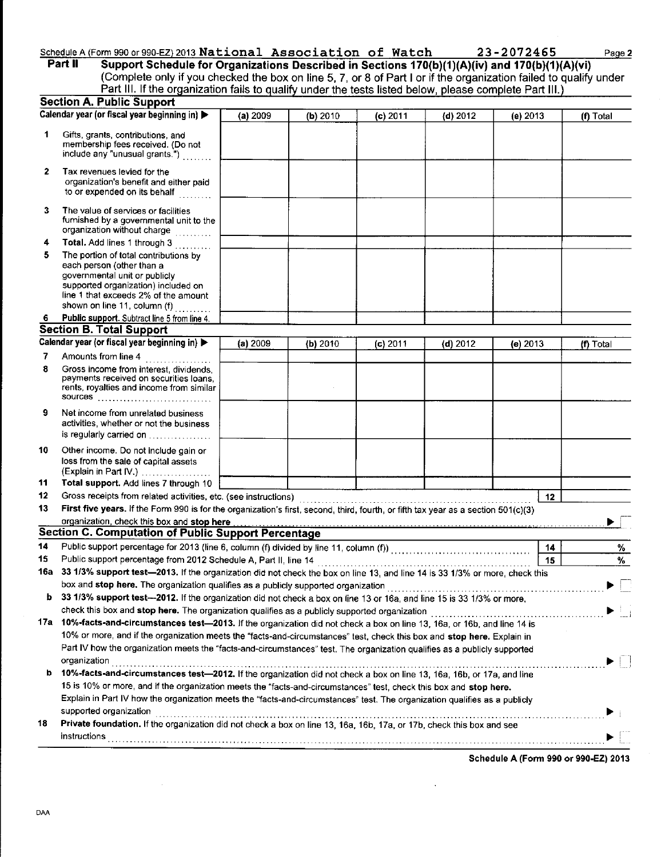# Schedule A (Form 990 or 990-EZ) 2013 National Association of Watch 23-2072465 Page 2<br>Part II Support Schedule for Organizations Described in Sections 170(b)(1)(A)(iv) and 170(b)(1)(A)(vi)

Support Schedule for Organizations Described in Sections 170(b)(1)(A)(iv) and 170(b)(1)(A)(vi) (Complete only if you checked the box on line 5, 7, or 8 of Part I or if lhe organization failed to qualify under Part III. If the organization fails to qualify under the tests listed below, please complete Part III.)  $\overline{\cdots}$ 

|              | <b>Section A. Public Support</b>                                                                                                                                                                                            |          |          |            |            |            |           |
|--------------|-----------------------------------------------------------------------------------------------------------------------------------------------------------------------------------------------------------------------------|----------|----------|------------|------------|------------|-----------|
|              | Calendar year (or fiscal year beginning in)                                                                                                                                                                                 | (a) 2009 | (b) 2010 | $(c)$ 2011 | (d) $2012$ | (e) $2013$ | (f) Total |
| 1            | Gifts, grants, contributions, and<br>membership fees received. (Do not<br>include any "unusual grants.")                                                                                                                    |          |          |            |            |            |           |
| $\mathbf{z}$ | Tax revenues levied for the<br>organization's benefit and either paid<br>to or expended on its behalf                                                                                                                       |          |          |            |            |            |           |
| 3            | The value of services or facilities<br>furnished by a governmental unit to the<br>organization without charge                                                                                                               |          |          |            |            |            |           |
| 4            | Total. Add lines 1 through 3                                                                                                                                                                                                |          |          |            |            |            |           |
| 5            | The portion of total contributions by<br>each person (other than a<br>governmental unit or publicly<br>supported organization) included on<br>line 1 that exceeds 2% of the amount<br>shown on line 11, column (f) $\ldots$ |          |          |            |            |            |           |
| 6.           | Public support. Subtract line 5 from line 4.                                                                                                                                                                                |          |          |            |            |            |           |
|              | <b>Section B. Total Support</b>                                                                                                                                                                                             |          |          |            |            |            |           |
|              | Calendar year (or fiscal year beginning in)                                                                                                                                                                                 | (a) 2009 | (b) 2010 | $(c)$ 2011 | (d) $2012$ | (e) $2013$ | (f) Total |
| 7            | Amounts from line 4                                                                                                                                                                                                         |          |          |            |            |            |           |
| 8            | Gross income from interest, dividends,<br>payments received on securities loans,<br>rents, royalties and income from similar<br><b>SOUFCES</b>                                                                              |          |          |            |            |            |           |
| 9            | Net income from unrelated business<br>activities, whether or not the business<br>is regularly carried on                                                                                                                    |          |          |            |            |            |           |
| 10           | Other income. Do not include gain or<br>loss from the sale of capital assets<br>(Explain in Part IV.)                                                                                                                       |          |          |            |            |            |           |
| 11           | Total support. Add lines 7 through 10                                                                                                                                                                                       |          |          |            |            |            |           |
| 12           | Gross receipts from related activities, etc. (see instructions)                                                                                                                                                             |          |          |            |            | 12         |           |
| 13           | First five years. If the Form 990 is for the organization's first, second, third, fourth, or fifth tax year as a section 501(c)(3)                                                                                          |          |          |            |            |            |           |
|              | organization, check this box and stop here                                                                                                                                                                                  |          |          |            |            |            |           |
|              | Section C. Computation of Public Support Percentage                                                                                                                                                                         |          |          |            |            |            |           |
| 14           |                                                                                                                                                                                                                             |          |          |            |            | 14         | %         |
| 15           | Public support percentage from 2012 Schedule A, Part II, line 14                                                                                                                                                            |          |          |            |            | 15         | %         |
| 16a          | 33 1/3% support test-2013. If the organization did not check the box on line 13, and line 14 is 33 1/3% or more, check this                                                                                                 |          |          |            |            |            |           |
|              | box and stop here. The organization qualifies as a publicly supported organization                                                                                                                                          |          |          |            |            |            |           |
|              | b 33 1/3% support test-2012. If the organization did not check a box on line 13 or 16a, and line 15 is 33 1/3% or more,                                                                                                     |          |          |            |            |            |           |
|              |                                                                                                                                                                                                                             |          |          |            |            |            |           |
|              | 17a 10%-facts-and-circumstances test—2013. If the organization did not check a box on line 13, 16a, or 16b, and line 14 is                                                                                                  |          |          |            |            |            |           |
|              | 10% or more, and if the organization meets the "facts-and-circumstances" test, check this box and stop here. Explain in                                                                                                     |          |          |            |            |            |           |
|              | Part IV how the organization meets the "facts-and-circumstances" test. The organization qualifies as a publicly supported                                                                                                   |          |          |            |            |            |           |
|              | organization                                                                                                                                                                                                                |          |          |            |            |            |           |
| b            | 10%-facts-and-circumstances test-2012. If the organization did not check a box on line 13, 16a, 16b, or 17a, and line                                                                                                       |          |          |            |            |            |           |
|              | 15 is 10% or more, and if the organization meets the "facts-and-circumstances" test, check this box and stop here.                                                                                                          |          |          |            |            |            |           |
|              | Explain in Part IV how the organization meets the "facts-and-circumstances" test. The organization qualifies as a publicly                                                                                                  |          |          |            |            |            |           |
|              | supported organization                                                                                                                                                                                                      |          |          |            |            |            |           |
| 18           | Private foundation. If the organization did not check a box on line 13, 16a, 16b, 17a, or 17b, check this box and see                                                                                                       |          |          |            |            |            |           |
|              | instructions                                                                                                                                                                                                                |          |          |            |            |            |           |
|              |                                                                                                                                                                                                                             |          |          |            |            |            |           |

Schedule A (Form 990 or 990-EZ) 2013

 $\overline{a}$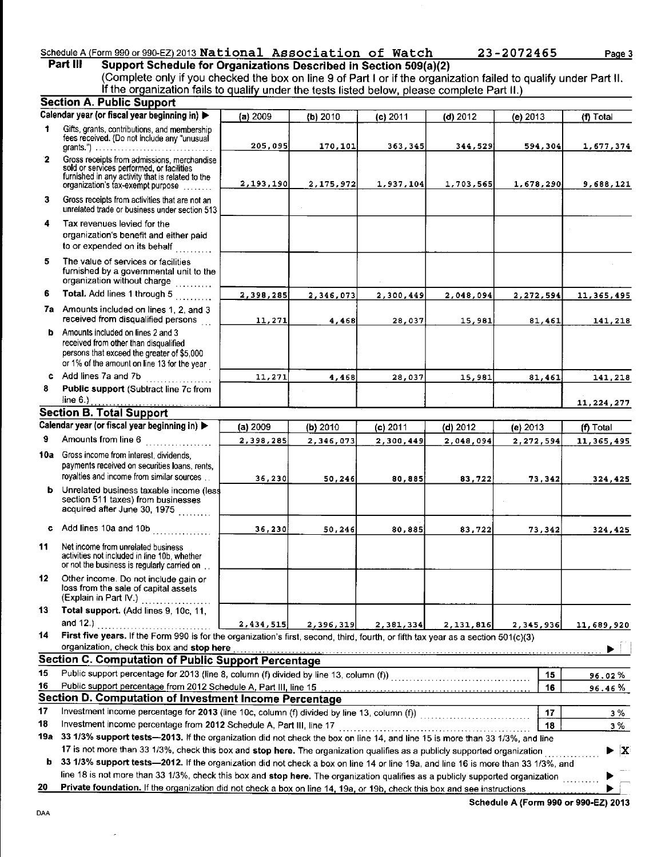#### Schedule A (Form 990 or 990-EZ) 2013 National Association of Watch Part III

23-2072465

Page 3

Support Schedule for Organizations Described in Section 509(a)(2) (Complete only if you checked the box on line 9 of Part I or if the organization failed If the organization fails to qualify under the tests listed below, please complete Part qualify under Part ll.

|             | <b>Section A. Public Support</b>                                                                                                                                                                                                                                     |           |           |            |             |            |                         |
|-------------|----------------------------------------------------------------------------------------------------------------------------------------------------------------------------------------------------------------------------------------------------------------------|-----------|-----------|------------|-------------|------------|-------------------------|
|             | Calendar year (or fiscal year beginning in)                                                                                                                                                                                                                          | (a) 2009  | (b) 2010  | $(c)$ 2011 | $(d)$ 2012  | $(e)$ 2013 | (f) Total               |
| 1           | Gifts, grants, contributions, and membership<br>fees received. (Do not include any "unusual                                                                                                                                                                          | 205,095   | 170,101   | 363,345    | 344,529     | 594,304    | 1,677,374               |
| $\mathbf 2$ | Gross receipts from admissions, merchandise<br>sold or services performed, or facilities<br>furnished in any activity that is related to the<br>organization's tax-exempt purpose                                                                                    | 2,193,190 | 2,175,972 | 1,937,104  | 1,703,565   | 1,678,290  | 9,688,121               |
| 3           | Gross receipts from activities that are not an<br>unrelated trade or business under section 513                                                                                                                                                                      |           |           |            |             |            |                         |
| 4           | Tax revenues levied for the<br>organization's benefit and either paid<br>to or expended on its behalf                                                                                                                                                                |           |           |            |             |            |                         |
| 5           | The value of services or facilities<br>furnished by a governmental unit to the<br>organization without charge                                                                                                                                                        |           |           |            |             |            |                         |
| 6           | Total. Add lines 1 through 5                                                                                                                                                                                                                                         | 2,398,285 | 2,346,073 | 2,300,449  | 2,048,094   | 2,272,594  | 11,365,495              |
|             | 7a Amounts included on lines 1, 2, and 3<br>received from disqualified persons                                                                                                                                                                                       | 11,271    | 4,468     | 28,037     | 15,981      | 81,461     | 141,218                 |
| ь.          | Amounts included on lines 2 and 3<br>received from other than disqualified<br>persons that exceed the greater of \$5,000<br>or 1% of the amount on line 13 for the year                                                                                              |           |           |            |             |            |                         |
| c.          | Add lines 7a and 7b<br>.                                                                                                                                                                                                                                             | 11,271    | 4,468     | 28,037     | 15,981      | 81,461     | 141,218                 |
| 8           | Public support (Subtract line 7c from<br>line $6.$                                                                                                                                                                                                                   |           |           |            |             |            | 11, 224, 277            |
|             | <b>Section B. Total Support</b>                                                                                                                                                                                                                                      |           |           |            |             |            |                         |
|             | Calendar year (or fiscal year beginning in)                                                                                                                                                                                                                          | (a) 2009  | (b) 2010  | $(c)$ 2011 | (d) 2012    | $(e)$ 2013 | (f) Total               |
| 9           | Amounts from line 6<br><u>a serial de la califación de la califación de la califación de la califación de la califación de la califación </u>                                                                                                                        | 2,398,285 | 2,346,073 | 2,300,449  | 2,048,094   | 2,272,594  | 11, 365, 495            |
|             | 10a Gross income from interest, dividends,<br>payments received on securities loans, rents,<br>royalties and income from similar sources                                                                                                                             | 36,230    | 50,246    | 80,885     | 83,722      | 73,342     | 324,425                 |
|             | <b>b</b> Unrelated business taxable income (less<br>section 511 taxes) from businesses<br>acquired after June 30, 1975                                                                                                                                               |           |           |            |             |            |                         |
|             | c Add lines 10a and 10b                                                                                                                                                                                                                                              | 36, 230   | 50, 246   | 80,885     | 83,722      | 73,342     | 324,425                 |
| 11          | Net income from unrelated business<br>activities not included in line 10b, whether<br>or not the business is regularly carried on                                                                                                                                    |           |           |            |             |            |                         |
| 12          | Other income. Do not include gain or<br>loss from the sale of capital assets<br>(Explain in Part IV.)                                                                                                                                                                |           |           |            |             |            |                         |
| 13          | Total support. (Add lines 9, 10c, 11,                                                                                                                                                                                                                                |           |           |            |             |            |                         |
|             | and $12.$ )<br>.                                                                                                                                                                                                                                                     | 2,434,515 | 2,396,319 | 2,381,334  | 2, 131, 816 | 2,345,936  | 11,689,920              |
| 14          | First five years. If the Form 990 is for the organization's first, second, third, fourth, or fifth tax year as a section 501(c)(3)<br>organization, check this box and stop here                                                                                     |           |           |            |             |            |                         |
|             | Section C. Computation of Public Support Percentage                                                                                                                                                                                                                  |           |           |            |             |            |                         |
| 15          | Public support percentage for 2013 (line 8, column (f) divided by line 13, column (f)) [[[[[[[[[[[[[[[[[[[[[[                                                                                                                                                        |           |           |            |             | 15         | 96.02%                  |
| 16          | Public support percentage from 2012 Schedule A, Part III, line 15                                                                                                                                                                                                    |           |           |            |             | 16         | 96.46%                  |
|             | <b>Section D. Computation of Investment Income Percentage</b>                                                                                                                                                                                                        |           |           |            |             |            |                         |
| 17          | Investment income percentage for 2013 (line 10c, column (f) divided by line 13, column (f)) [[[[[[[[[[[[[[[[[                                                                                                                                                        |           |           |            |             | 17         | 3%                      |
| 18          | Investment income percentage from 2012 Schedule A, Part III, line 17                                                                                                                                                                                                 |           |           |            |             | 18         | з%                      |
| 19а         | 33 1/3% support tests-2013. If the organization did not check the box on line 14, and line 15 is more than 33 1/3%, and line                                                                                                                                         |           |           |            |             |            |                         |
|             | 17 is not more than 33 1/3%, check this box and stop here. The organization qualifies as a publicly supported organization                                                                                                                                           |           |           |            |             |            | $\blacktriangleright$ X |
| b           | 33 1/3% support tests—2012. If the organization did not check a box on line 14 or line 19a, and line 16 is more than 33 1/3%, and<br>line 18 is not more than 33 1/3%, check this box and stop here. The organization qualifies as a publicly supported organization |           |           |            |             |            |                         |
| 20          | Private foundation. If the organization did not check a box on line 14, 19a, or 19b, check this box and see instructions                                                                                                                                             |           |           |            |             |            |                         |

 $\overline{a}$